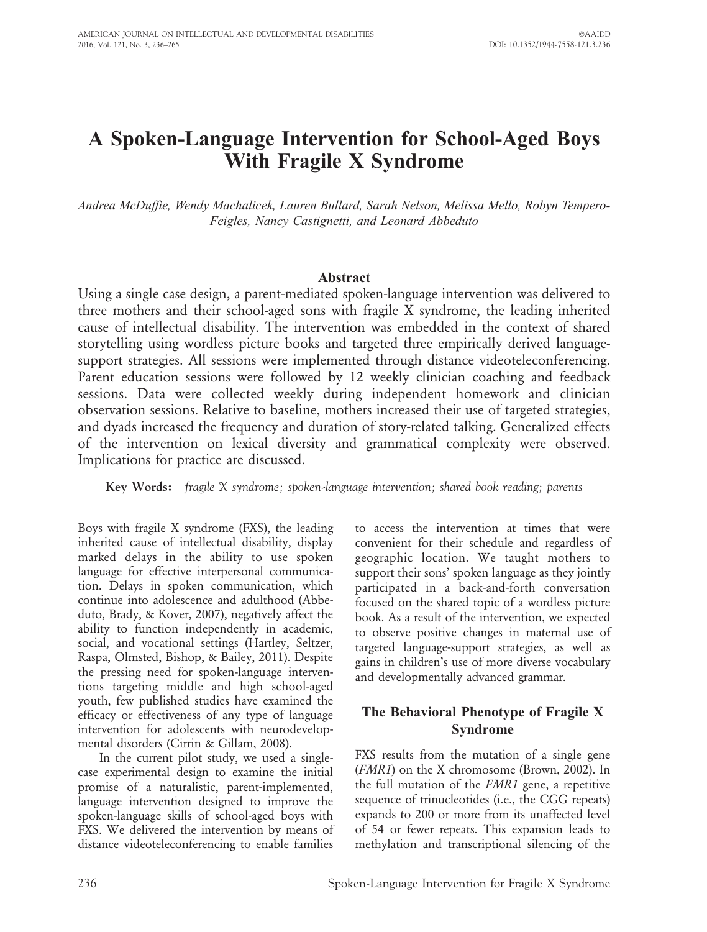# A Spoken-Language Intervention for School-Aged Boys With Fragile X Syndrome

Andrea McDuffie, Wendy Machalicek, Lauren Bullard, Sarah Nelson, Melissa Mello, Robyn Tempero-Feigles, Nancy Castignetti, and Leonard Abbeduto

#### Abstract

Using a single case design, a parent-mediated spoken-language intervention was delivered to three mothers and their school-aged sons with fragile X syndrome, the leading inherited cause of intellectual disability. The intervention was embedded in the context of shared storytelling using wordless picture books and targeted three empirically derived languagesupport strategies. All sessions were implemented through distance videoteleconferencing. Parent education sessions were followed by 12 weekly clinician coaching and feedback sessions. Data were collected weekly during independent homework and clinician observation sessions. Relative to baseline, mothers increased their use of targeted strategies, and dyads increased the frequency and duration of story-related talking. Generalized effects of the intervention on lexical diversity and grammatical complexity were observed. Implications for practice are discussed.

Key Words: fragile X syndrome; spoken-language intervention; shared book reading; parents

Boys with fragile X syndrome (FXS), the leading inherited cause of intellectual disability, display marked delays in the ability to use spoken language for effective interpersonal communication. Delays in spoken communication, which continue into adolescence and adulthood (Abbeduto, Brady, & Kover, 2007), negatively affect the ability to function independently in academic, social, and vocational settings (Hartley, Seltzer, Raspa, Olmsted, Bishop, & Bailey, 2011). Despite the pressing need for spoken-language interventions targeting middle and high school-aged youth, few published studies have examined the efficacy or effectiveness of any type of language intervention for adolescents with neurodevelopmental disorders (Cirrin & Gillam, 2008).

In the current pilot study, we used a singlecase experimental design to examine the initial promise of a naturalistic, parent-implemented, language intervention designed to improve the spoken-language skills of school-aged boys with FXS. We delivered the intervention by means of distance videoteleconferencing to enable families

to access the intervention at times that were convenient for their schedule and regardless of geographic location. We taught mothers to support their sons' spoken language as they jointly participated in a back-and-forth conversation focused on the shared topic of a wordless picture book. As a result of the intervention, we expected to observe positive changes in maternal use of targeted language-support strategies, as well as gains in children's use of more diverse vocabulary and developmentally advanced grammar.

# The Behavioral Phenotype of Fragile X Syndrome

FXS results from the mutation of a single gene (FMR1) on the X chromosome (Brown, 2002). In the full mutation of the FMR1 gene, a repetitive sequence of trinucleotides (i.e., the CGG repeats) expands to 200 or more from its unaffected level of 54 or fewer repeats. This expansion leads to methylation and transcriptional silencing of the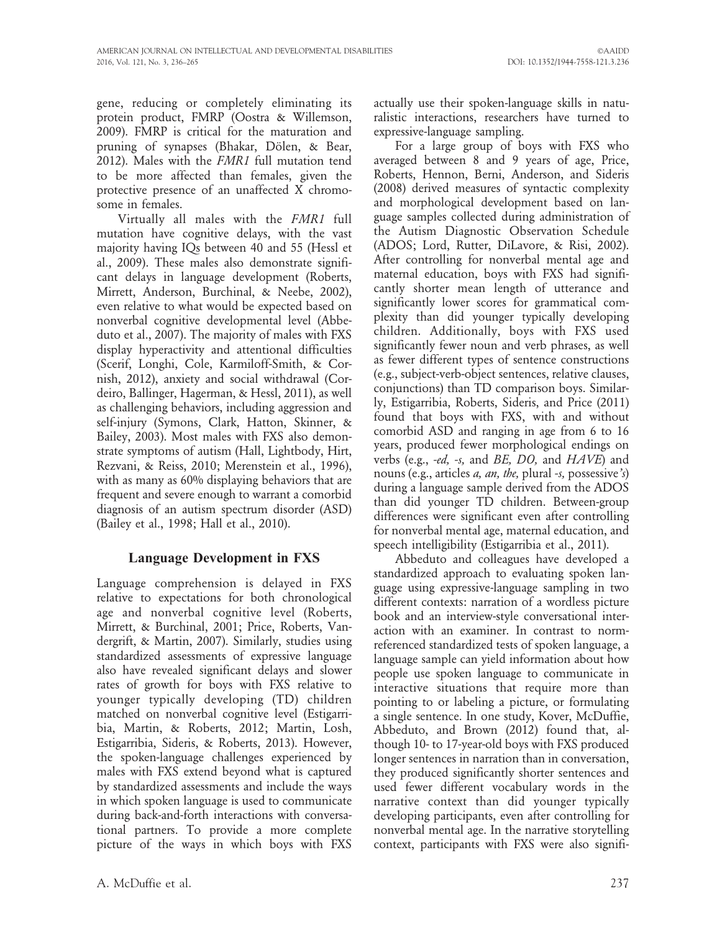gene, reducing or completely eliminating its protein product, FMRP (Oostra & Willemson, 2009). FMRP is critical for the maturation and pruning of synapses (Bhakar, Dölen, & Bear, 2012). Males with the FMR1 full mutation tend to be more affected than females, given the protective presence of an unaffected X chromosome in females.

Virtually all males with the FMR1 full mutation have cognitive delays, with the vast majority having IQs between 40 and 55 (Hessl et al., 2009). These males also demonstrate significant delays in language development (Roberts, Mirrett, Anderson, Burchinal, & Neebe, 2002), even relative to what would be expected based on nonverbal cognitive developmental level (Abbeduto et al., 2007). The majority of males with FXS display hyperactivity and attentional difficulties (Scerif, Longhi, Cole, Karmiloff-Smith, & Cornish, 2012), anxiety and social withdrawal (Cordeiro, Ballinger, Hagerman, & Hessl, 2011), as well as challenging behaviors, including aggression and self-injury (Symons, Clark, Hatton, Skinner, & Bailey, 2003). Most males with FXS also demonstrate symptoms of autism (Hall, Lightbody, Hirt, Rezvani, & Reiss, 2010; Merenstein et al., 1996), with as many as 60% displaying behaviors that are frequent and severe enough to warrant a comorbid diagnosis of an autism spectrum disorder (ASD) (Bailey et al., 1998; Hall et al., 2010).

# Language Development in FXS

Language comprehension is delayed in FXS relative to expectations for both chronological age and nonverbal cognitive level (Roberts, Mirrett, & Burchinal, 2001; Price, Roberts, Vandergrift, & Martin, 2007). Similarly, studies using standardized assessments of expressive language also have revealed significant delays and slower rates of growth for boys with FXS relative to younger typically developing (TD) children matched on nonverbal cognitive level (Estigarribia, Martin, & Roberts, 2012; Martin, Losh, Estigarribia, Sideris, & Roberts, 2013). However, the spoken-language challenges experienced by males with FXS extend beyond what is captured by standardized assessments and include the ways in which spoken language is used to communicate during back-and-forth interactions with conversational partners. To provide a more complete picture of the ways in which boys with FXS

actually use their spoken-language skills in naturalistic interactions, researchers have turned to expressive-language sampling.

For a large group of boys with FXS who averaged between 8 and 9 years of age, Price, Roberts, Hennon, Berni, Anderson, and Sideris (2008) derived measures of syntactic complexity and morphological development based on language samples collected during administration of the Autism Diagnostic Observation Schedule (ADOS; Lord, Rutter, DiLavore, & Risi, 2002). After controlling for nonverbal mental age and maternal education, boys with FXS had significantly shorter mean length of utterance and significantly lower scores for grammatical complexity than did younger typically developing children. Additionally, boys with FXS used significantly fewer noun and verb phrases, as well as fewer different types of sentence constructions (e.g., subject-verb-object sentences, relative clauses, conjunctions) than TD comparison boys. Similarly, Estigarribia, Roberts, Sideris, and Price (2011) found that boys with FXS, with and without comorbid ASD and ranging in age from 6 to 16 years, produced fewer morphological endings on verbs (e.g.,  $-ed$ ,  $-s$ , and BE, DO, and HAVE) and nouns (e.g., articles *a, an, the, plural -s, possessive's)* during a language sample derived from the ADOS than did younger TD children. Between-group differences were significant even after controlling for nonverbal mental age, maternal education, and speech intelligibility (Estigarribia et al., 2011).

Abbeduto and colleagues have developed a standardized approach to evaluating spoken language using expressive-language sampling in two different contexts: narration of a wordless picture book and an interview-style conversational interaction with an examiner. In contrast to normreferenced standardized tests of spoken language, a language sample can yield information about how people use spoken language to communicate in interactive situations that require more than pointing to or labeling a picture, or formulating a single sentence. In one study, Kover, McDuffie, Abbeduto, and Brown (2012) found that, although 10- to 17-year-old boys with FXS produced longer sentences in narration than in conversation, they produced significantly shorter sentences and used fewer different vocabulary words in the narrative context than did younger typically developing participants, even after controlling for nonverbal mental age. In the narrative storytelling context, participants with FXS were also signifi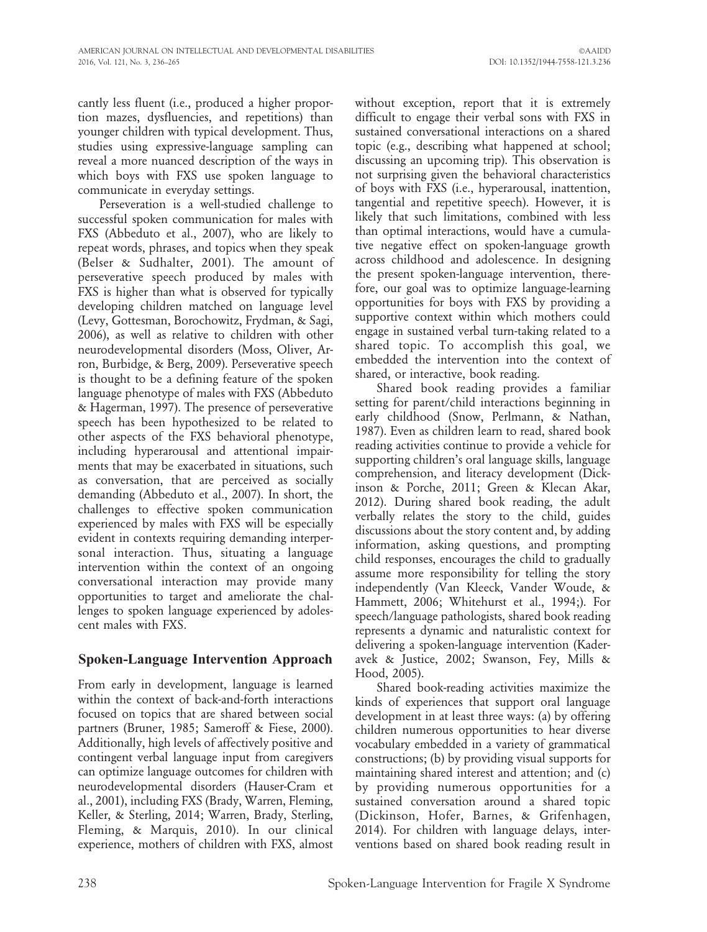cantly less fluent (i.e., produced a higher proportion mazes, dysfluencies, and repetitions) than younger children with typical development. Thus, studies using expressive-language sampling can reveal a more nuanced description of the ways in which boys with FXS use spoken language to communicate in everyday settings.

Perseveration is a well-studied challenge to successful spoken communication for males with FXS (Abbeduto et al., 2007), who are likely to repeat words, phrases, and topics when they speak (Belser & Sudhalter, 2001). The amount of perseverative speech produced by males with FXS is higher than what is observed for typically developing children matched on language level (Levy, Gottesman, Borochowitz, Frydman, & Sagi, 2006), as well as relative to children with other neurodevelopmental disorders (Moss, Oliver, Arron, Burbidge, & Berg, 2009). Perseverative speech is thought to be a defining feature of the spoken language phenotype of males with FXS (Abbeduto & Hagerman, 1997). The presence of perseverative speech has been hypothesized to be related to other aspects of the FXS behavioral phenotype, including hyperarousal and attentional impairments that may be exacerbated in situations, such as conversation, that are perceived as socially demanding (Abbeduto et al., 2007). In short, the challenges to effective spoken communication experienced by males with FXS will be especially evident in contexts requiring demanding interpersonal interaction. Thus, situating a language intervention within the context of an ongoing conversational interaction may provide many opportunities to target and ameliorate the challenges to spoken language experienced by adolescent males with FXS.

#### Spoken-Language Intervention Approach

From early in development, language is learned within the context of back-and-forth interactions focused on topics that are shared between social partners (Bruner, 1985; Sameroff & Fiese, 2000). Additionally, high levels of affectively positive and contingent verbal language input from caregivers can optimize language outcomes for children with neurodevelopmental disorders (Hauser-Cram et al., 2001), including FXS (Brady, Warren, Fleming, Keller, & Sterling, 2014; Warren, Brady, Sterling, Fleming, & Marquis, 2010). In our clinical experience, mothers of children with FXS, almost

without exception, report that it is extremely difficult to engage their verbal sons with FXS in sustained conversational interactions on a shared topic (e.g., describing what happened at school; discussing an upcoming trip). This observation is not surprising given the behavioral characteristics of boys with FXS (i.e., hyperarousal, inattention, tangential and repetitive speech). However, it is likely that such limitations, combined with less than optimal interactions, would have a cumulative negative effect on spoken-language growth across childhood and adolescence. In designing the present spoken-language intervention, therefore, our goal was to optimize language-learning opportunities for boys with FXS by providing a supportive context within which mothers could engage in sustained verbal turn-taking related to a shared topic. To accomplish this goal, we embedded the intervention into the context of shared, or interactive, book reading.

Shared book reading provides a familiar setting for parent/child interactions beginning in early childhood (Snow, Perlmann, & Nathan, 1987). Even as children learn to read, shared book reading activities continue to provide a vehicle for supporting children's oral language skills, language comprehension, and literacy development (Dickinson & Porche, 2011; Green & Klecan Akar, 2012). During shared book reading, the adult verbally relates the story to the child, guides discussions about the story content and, by adding information, asking questions, and prompting child responses, encourages the child to gradually assume more responsibility for telling the story independently (Van Kleeck, Vander Woude, & Hammett, 2006; Whitehurst et al., 1994;). For speech/language pathologists, shared book reading represents a dynamic and naturalistic context for delivering a spoken-language intervention (Kaderavek & Justice, 2002; Swanson, Fey, Mills & Hood, 2005).

Shared book-reading activities maximize the kinds of experiences that support oral language development in at least three ways: (a) by offering children numerous opportunities to hear diverse vocabulary embedded in a variety of grammatical constructions; (b) by providing visual supports for maintaining shared interest and attention; and (c) by providing numerous opportunities for a sustained conversation around a shared topic (Dickinson, Hofer, Barnes, & Grifenhagen, 2014). For children with language delays, interventions based on shared book reading result in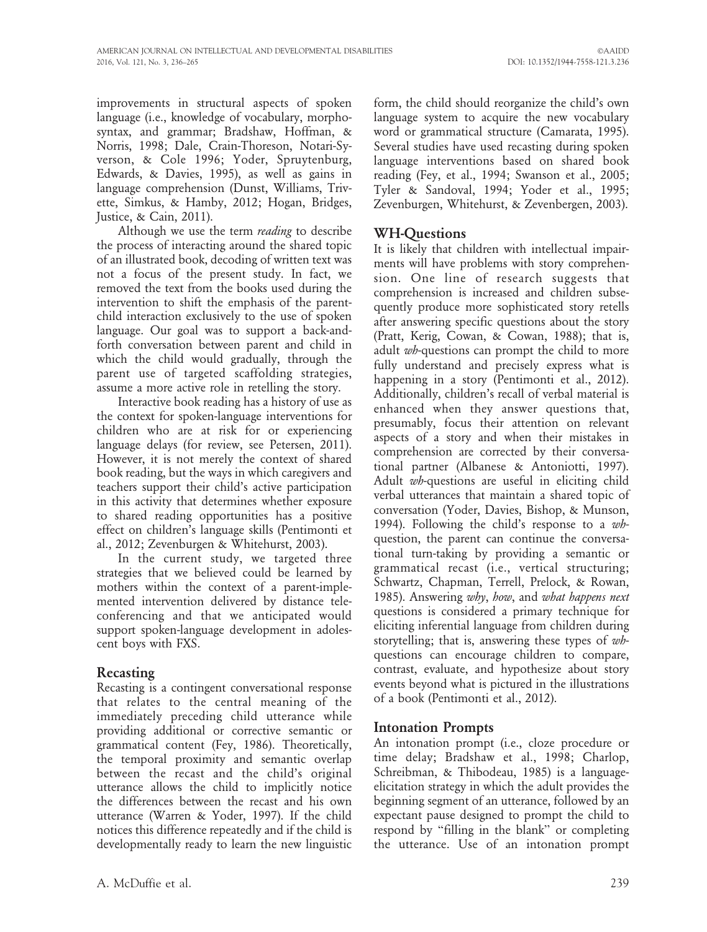improvements in structural aspects of spoken language (i.e., knowledge of vocabulary, morphosyntax, and grammar; Bradshaw, Hoffman, & Norris, 1998; Dale, Crain-Thoreson, Notari-Syverson, & Cole 1996; Yoder, Spruytenburg, Edwards, & Davies, 1995), as well as gains in language comprehension (Dunst, Williams, Trivette, Simkus, & Hamby, 2012; Hogan, Bridges, Justice, & Cain, 2011).

Although we use the term *reading* to describe the process of interacting around the shared topic of an illustrated book, decoding of written text was not a focus of the present study. In fact, we removed the text from the books used during the intervention to shift the emphasis of the parentchild interaction exclusively to the use of spoken language. Our goal was to support a back-andforth conversation between parent and child in which the child would gradually, through the parent use of targeted scaffolding strategies, assume a more active role in retelling the story.

Interactive book reading has a history of use as the context for spoken-language interventions for children who are at risk for or experiencing language delays (for review, see Petersen, 2011). However, it is not merely the context of shared book reading, but the ways in which caregivers and teachers support their child's active participation in this activity that determines whether exposure to shared reading opportunities has a positive effect on children's language skills (Pentimonti et al., 2012; Zevenburgen & Whitehurst, 2003).

In the current study, we targeted three strategies that we believed could be learned by mothers within the context of a parent-implemented intervention delivered by distance teleconferencing and that we anticipated would support spoken-language development in adolescent boys with FXS.

# Recasting

Recasting is a contingent conversational response that relates to the central meaning of the immediately preceding child utterance while providing additional or corrective semantic or grammatical content (Fey, 1986). Theoretically, the temporal proximity and semantic overlap between the recast and the child's original utterance allows the child to implicitly notice the differences between the recast and his own utterance (Warren & Yoder, 1997). If the child notices this difference repeatedly and if the child is developmentally ready to learn the new linguistic form, the child should reorganize the child's own language system to acquire the new vocabulary word or grammatical structure (Camarata, 1995). Several studies have used recasting during spoken language interventions based on shared book reading (Fey, et al., 1994; Swanson et al., 2005; Tyler & Sandoval, 1994; Yoder et al., 1995; Zevenburgen, Whitehurst, & Zevenbergen, 2003).

# WH-Questions

It is likely that children with intellectual impairments will have problems with story comprehension. One line of research suggests that comprehension is increased and children subsequently produce more sophisticated story retells after answering specific questions about the story (Pratt, Kerig, Cowan, & Cowan, 1988); that is, adult wh-questions can prompt the child to more fully understand and precisely express what is happening in a story (Pentimonti et al., 2012). Additionally, children's recall of verbal material is enhanced when they answer questions that, presumably, focus their attention on relevant aspects of a story and when their mistakes in comprehension are corrected by their conversational partner (Albanese & Antoniotti, 1997). Adult wh-questions are useful in eliciting child verbal utterances that maintain a shared topic of conversation (Yoder, Davies, Bishop, & Munson, 1994). Following the child's response to a whquestion, the parent can continue the conversational turn-taking by providing a semantic or grammatical recast (i.e., vertical structuring; Schwartz, Chapman, Terrell, Prelock, & Rowan, 1985). Answering why, how, and what happens next questions is considered a primary technique for eliciting inferential language from children during storytelling; that is, answering these types of whquestions can encourage children to compare, contrast, evaluate, and hypothesize about story events beyond what is pictured in the illustrations of a book (Pentimonti et al., 2012).

# Intonation Prompts

An intonation prompt (i.e., cloze procedure or time delay; Bradshaw et al., 1998; Charlop, Schreibman, & Thibodeau, 1985) is a languageelicitation strategy in which the adult provides the beginning segment of an utterance, followed by an expectant pause designed to prompt the child to respond by ''filling in the blank'' or completing the utterance. Use of an intonation prompt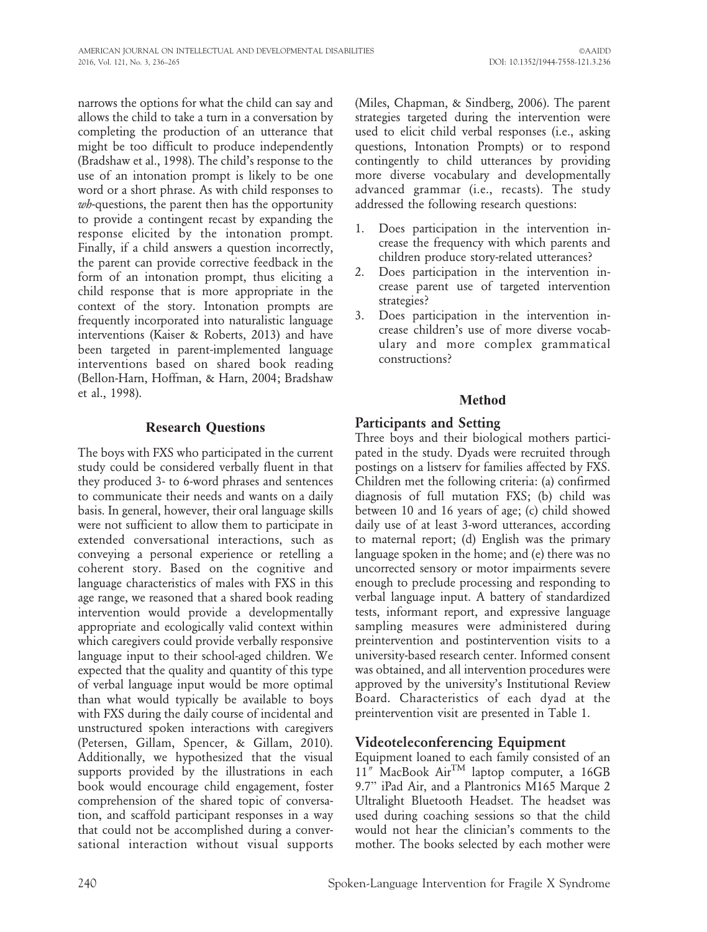narrows the options for what the child can say and allows the child to take a turn in a conversation by completing the production of an utterance that might be too difficult to produce independently (Bradshaw et al., 1998). The child's response to the use of an intonation prompt is likely to be one word or a short phrase. As with child responses to wh-questions, the parent then has the opportunity to provide a contingent recast by expanding the response elicited by the intonation prompt. Finally, if a child answers a question incorrectly, the parent can provide corrective feedback in the form of an intonation prompt, thus eliciting a child response that is more appropriate in the context of the story. Intonation prompts are frequently incorporated into naturalistic language interventions (Kaiser & Roberts, 2013) and have been targeted in parent-implemented language interventions based on shared book reading (Bellon-Harn, Hoffman, & Harn, 2004; Bradshaw et al., 1998).

### Research Questions

The boys with FXS who participated in the current study could be considered verbally fluent in that they produced 3- to 6-word phrases and sentences to communicate their needs and wants on a daily basis. In general, however, their oral language skills were not sufficient to allow them to participate in extended conversational interactions, such as conveying a personal experience or retelling a coherent story. Based on the cognitive and language characteristics of males with FXS in this age range, we reasoned that a shared book reading intervention would provide a developmentally appropriate and ecologically valid context within which caregivers could provide verbally responsive language input to their school-aged children. We expected that the quality and quantity of this type of verbal language input would be more optimal than what would typically be available to boys with FXS during the daily course of incidental and unstructured spoken interactions with caregivers (Petersen, Gillam, Spencer, & Gillam, 2010). Additionally, we hypothesized that the visual supports provided by the illustrations in each book would encourage child engagement, foster comprehension of the shared topic of conversation, and scaffold participant responses in a way that could not be accomplished during a conversational interaction without visual supports (Miles, Chapman, & Sindberg, 2006). The parent strategies targeted during the intervention were used to elicit child verbal responses (i.e., asking questions, Intonation Prompts) or to respond contingently to child utterances by providing more diverse vocabulary and developmentally advanced grammar (i.e., recasts). The study addressed the following research questions:

- 1. Does participation in the intervention increase the frequency with which parents and children produce story-related utterances?
- 2. Does participation in the intervention increase parent use of targeted intervention strategies?
- 3. Does participation in the intervention increase children's use of more diverse vocabulary and more complex grammatical constructions?

#### Method

# Participants and Setting

Three boys and their biological mothers participated in the study. Dyads were recruited through postings on a listserv for families affected by FXS. Children met the following criteria: (a) confirmed diagnosis of full mutation FXS; (b) child was between 10 and 16 years of age; (c) child showed daily use of at least 3-word utterances, according to maternal report; (d) English was the primary language spoken in the home; and (e) there was no uncorrected sensory or motor impairments severe enough to preclude processing and responding to verbal language input. A battery of standardized tests, informant report, and expressive language sampling measures were administered during preintervention and postintervention visits to a university-based research center. Informed consent was obtained, and all intervention procedures were approved by the university's Institutional Review Board. Characteristics of each dyad at the preintervention visit are presented in Table 1.

# Videoteleconferencing Equipment

Equipment loaned to each family consisted of an 11" MacBook Air<sup>TM</sup> laptop computer, a 16GB 9.7'' iPad Air, and a Plantronics M165 Marque 2 Ultralight Bluetooth Headset. The headset was used during coaching sessions so that the child would not hear the clinician's comments to the mother. The books selected by each mother were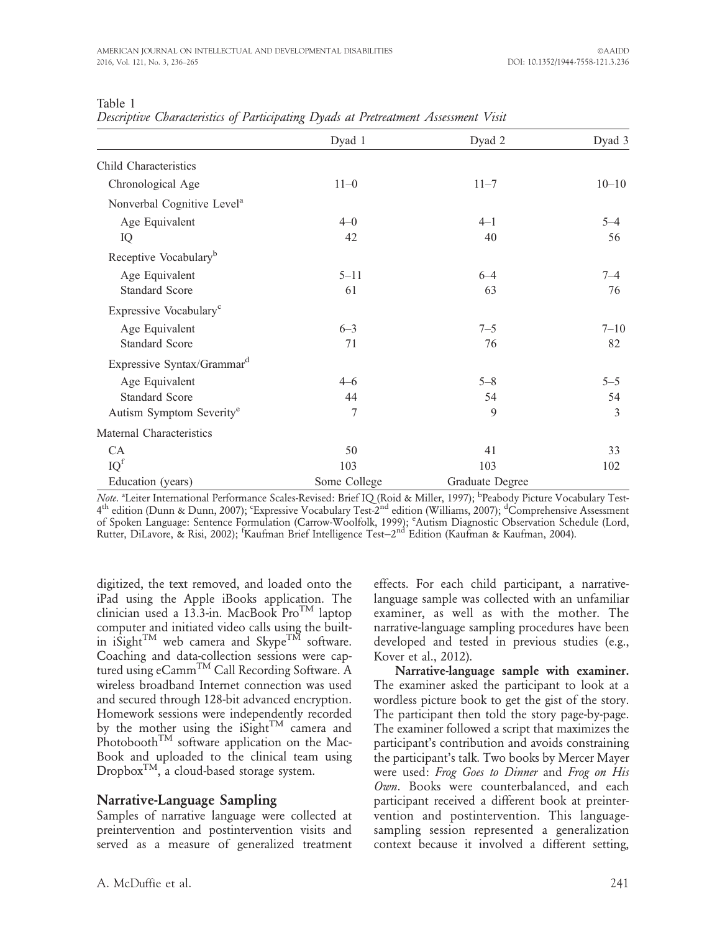|                                        | Dyad 1       | Dyad 2          | Dyad 3         |
|----------------------------------------|--------------|-----------------|----------------|
| Child Characteristics                  |              |                 |                |
| Chronological Age                      | $11 - 0$     | $11 - 7$        | $10 - 10$      |
| Nonverbal Cognitive Level <sup>a</sup> |              |                 |                |
| Age Equivalent                         | $4 - 0$      | $4 - 1$         | $5 - 4$        |
| IQ                                     | 42           | 40              | 56             |
| Receptive Vocabulary <sup>b</sup>      |              |                 |                |
| Age Equivalent                         | $5 - 11$     | $6 - 4$         | $7 - 4$        |
| <b>Standard Score</b>                  | 61           | 63              | 76             |
| Expressive Vocabulary <sup>c</sup>     |              |                 |                |
| Age Equivalent                         | $6 - 3$      | $7 - 5$         | $7 - 10$       |
| <b>Standard Score</b>                  | 71           | 76              | 82             |
| Expressive Syntax/Grammar <sup>d</sup> |              |                 |                |
| Age Equivalent                         | $4 - 6$      | $5 - 8$         | $5 - 5$        |
| <b>Standard Score</b>                  | 44           | 54              | 54             |
| Autism Symptom Severity <sup>e</sup>   | $\sqrt{ }$   | 9               | $\overline{3}$ |
| Maternal Characteristics               |              |                 |                |
| CA                                     | 50           | 41              | 33             |
| IQ <sup>f</sup>                        | 103          | 103             | 102            |
| Education (years)                      | Some College | Graduate Degree |                |

Table 1

|  | Descriptive Characteristics of Participating Dyads at Pretreatment Assessment Visit |  |  |  |  |  |  |  |  |  |
|--|-------------------------------------------------------------------------------------|--|--|--|--|--|--|--|--|--|
|--|-------------------------------------------------------------------------------------|--|--|--|--|--|--|--|--|--|

*Note*. <sup>a</sup>Leiter International Performance Scales-Revised: Brief IQ (Roid & Miller, 1997); <sup>b</sup>Peabody Picture Vocabulary Test-4<sup>th</sup> edition (Dunn & Dunn, 2007); 'Expressive Vocabulary Test-2<sup>nd</sup> edition (Williams, 2007);

digitized, the text removed, and loaded onto the iPad using the Apple iBooks application. The clinician used a 13.3-in. MacBook Pro<sup>TM</sup> laptop computer and initiated video calls using the builtin i $\dot{\rm S}$ ight $^{\rm TM}$  web camera and Skype $^{\rm TM}$  software. Coaching and data-collection sessions were captured using eCamm<sup>TM</sup> Call Recording Software. A wireless broadband Internet connection was used and secured through 128-bit advanced encryption. Homework sessions were independently recorded by the mother using the iSight<sup>TM</sup> camera and Photobooth<sup>TM</sup> software application on the Mac-Book and uploaded to the clinical team using Dropbox<sup>TM</sup>, a cloud-based storage system.

# Narrative-Language Sampling

Samples of narrative language were collected at preintervention and postintervention visits and served as a measure of generalized treatment

effects. For each child participant, a narrativelanguage sample was collected with an unfamiliar examiner, as well as with the mother. The narrative-language sampling procedures have been developed and tested in previous studies (e.g., Kover et al., 2012).

Narrative-language sample with examiner. The examiner asked the participant to look at a wordless picture book to get the gist of the story. The participant then told the story page-by-page. The examiner followed a script that maximizes the participant's contribution and avoids constraining the participant's talk. Two books by Mercer Mayer were used: Frog Goes to Dinner and Frog on His Own. Books were counterbalanced, and each participant received a different book at preintervention and postintervention. This languagesampling session represented a generalization context because it involved a different setting,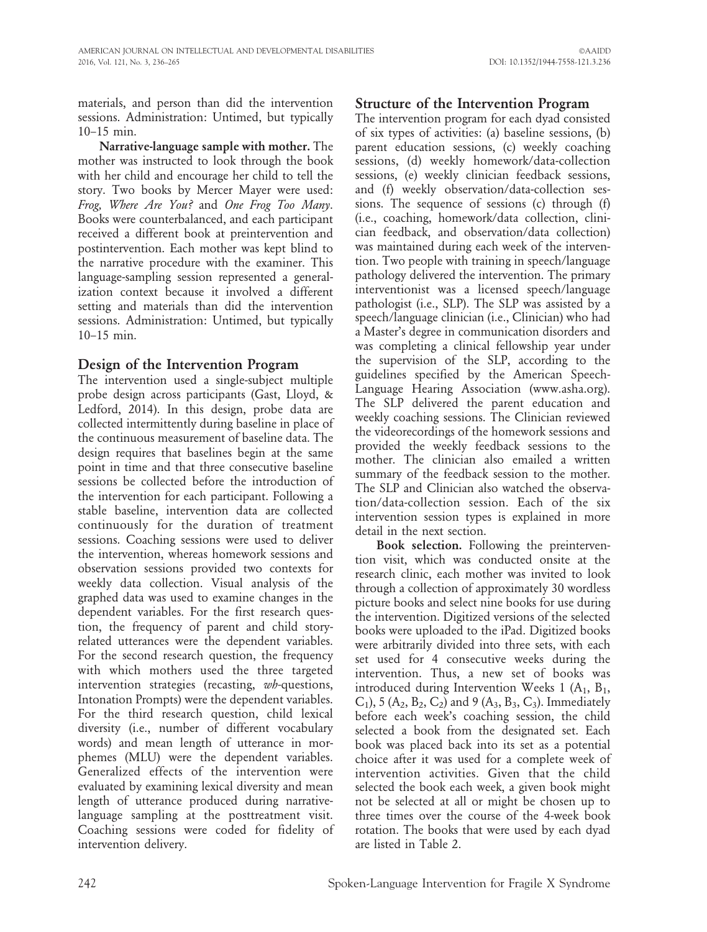materials, and person than did the intervention sessions. Administration: Untimed, but typically 10–15 min.

Narrative-language sample with mother. The mother was instructed to look through the book with her child and encourage her child to tell the story. Two books by Mercer Mayer were used: Frog, Where Are You? and One Frog Too Many. Books were counterbalanced, and each participant received a different book at preintervention and postintervention. Each mother was kept blind to the narrative procedure with the examiner. This language-sampling session represented a generalization context because it involved a different setting and materials than did the intervention sessions. Administration: Untimed, but typically 10–15 min.

#### Design of the Intervention Program

The intervention used a single-subject multiple probe design across participants (Gast, Lloyd, & Ledford, 2014). In this design, probe data are collected intermittently during baseline in place of the continuous measurement of baseline data. The design requires that baselines begin at the same point in time and that three consecutive baseline sessions be collected before the introduction of the intervention for each participant. Following a stable baseline, intervention data are collected continuously for the duration of treatment sessions. Coaching sessions were used to deliver the intervention, whereas homework sessions and observation sessions provided two contexts for weekly data collection. Visual analysis of the graphed data was used to examine changes in the dependent variables. For the first research question, the frequency of parent and child storyrelated utterances were the dependent variables. For the second research question, the frequency with which mothers used the three targeted intervention strategies (recasting, wh-questions, Intonation Prompts) were the dependent variables. For the third research question, child lexical diversity (i.e., number of different vocabulary words) and mean length of utterance in morphemes (MLU) were the dependent variables. Generalized effects of the intervention were evaluated by examining lexical diversity and mean length of utterance produced during narrativelanguage sampling at the posttreatment visit. Coaching sessions were coded for fidelity of intervention delivery.

### Structure of the Intervention Program

The intervention program for each dyad consisted of six types of activities: (a) baseline sessions, (b) parent education sessions, (c) weekly coaching sessions, (d) weekly homework/data-collection sessions, (e) weekly clinician feedback sessions, and (f) weekly observation/data-collection sessions. The sequence of sessions (c) through (f) (i.e., coaching, homework/data collection, clinician feedback, and observation/data collection) was maintained during each week of the intervention. Two people with training in speech/language pathology delivered the intervention. The primary interventionist was a licensed speech/language pathologist (i.e., SLP). The SLP was assisted by a speech/language clinician (i.e., Clinician) who had a Master's degree in communication disorders and was completing a clinical fellowship year under the supervision of the SLP, according to the guidelines specified by the American Speech-Language Hearing Association (www.asha.org). The SLP delivered the parent education and weekly coaching sessions. The Clinician reviewed the videorecordings of the homework sessions and provided the weekly feedback sessions to the mother. The clinician also emailed a written summary of the feedback session to the mother. The SLP and Clinician also watched the observation/data-collection session. Each of the six intervention session types is explained in more detail in the next section.

Book selection. Following the preintervention visit, which was conducted onsite at the research clinic, each mother was invited to look through a collection of approximately 30 wordless picture books and select nine books for use during the intervention. Digitized versions of the selected books were uploaded to the iPad. Digitized books were arbitrarily divided into three sets, with each set used for 4 consecutive weeks during the intervention. Thus, a new set of books was introduced during Intervention Weeks 1  $(A_1, B_1, A_2)$  $C_1$ ), 5 (A<sub>2</sub>, B<sub>2</sub>,  $C_2$ ) and 9 (A<sub>3</sub>, B<sub>3</sub>, C<sub>3</sub>). Immediately before each week's coaching session, the child selected a book from the designated set. Each book was placed back into its set as a potential choice after it was used for a complete week of intervention activities. Given that the child selected the book each week, a given book might not be selected at all or might be chosen up to three times over the course of the 4-week book rotation. The books that were used by each dyad are listed in Table 2.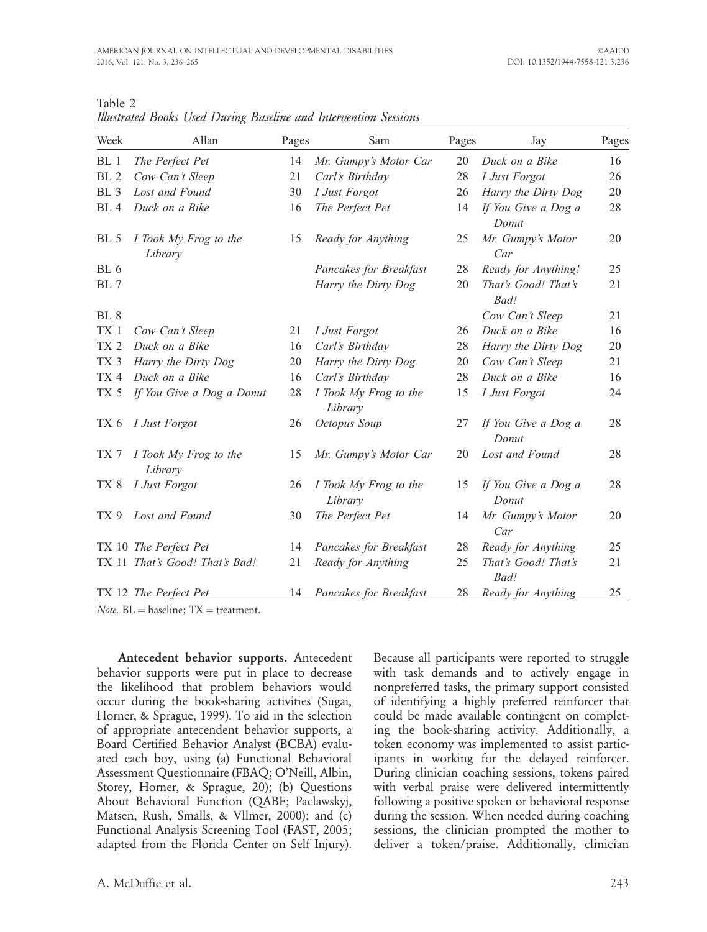Table 2

| Illustrated Books Used During Baseline and Intervention Sessions |  |  |  |  |
|------------------------------------------------------------------|--|--|--|--|
|------------------------------------------------------------------|--|--|--|--|

| Week            | Allan                            | Pages | Sam                              | Pages | Jay                          | Pages |
|-----------------|----------------------------------|-------|----------------------------------|-------|------------------------------|-------|
| BL <sub>1</sub> | The Perfect Pet                  | 14    | Mr. Gumpy's Motor Car            | 20    | Duck on a Bike               | 16    |
| BL <sub>2</sub> | Cow Can't Sleep                  | 21    | Carl's Birthday                  | 28    | I Just Forgot                | 26    |
| BL <sub>3</sub> | Lost and Found                   | 30    | I Just Forgot                    | 26    | Harry the Dirty Dog          | 20    |
| BL <sub>4</sub> | Duck on a Bike                   | 16    | The Perfect Pet                  | 14    | If You Give a Dog a<br>Donut | 28    |
| BL 5            | I Took My Frog to the<br>Library | 15    | Ready for Anything               | 25    | Mr. Gumpy's Motor<br>Car     | 20    |
| BL <sub>6</sub> |                                  |       | Pancakes for Breakfast           | 28    | Ready for Anything!          | 25    |
| BL 7            |                                  |       | Harry the Dirty Dog              | 20    | That's Good! That's<br>Bad!  | 21    |
| <b>BL</b> 8     |                                  |       |                                  |       | Cow Can't Sleep              | 21    |
| TX 1            | Cow Can't Sleep                  | 21    | I Just Forgot                    | 26    | Duck on a Bike               | 16    |
| TX <sub>2</sub> | Duck on a Bike                   | 16    | Carl's Birthday                  | 28    | Harry the Dirty Dog          | 20    |
| TX <sub>3</sub> | Harry the Dirty Dog              | 20    | Harry the Dirty Dog              | 20    | Cow Can't Sleep              | 21    |
| TX4             | Duck on a Bike                   | 16    | Carl's Birthday                  | 28    | Duck on a Bike               | 16    |
| TX 5            | If You Give a Dog a Donut        | 28    | I Took My Frog to the<br>Library | 15    | I Just Forgot                | 24    |
| TX 6            | I Just Forgot                    | 26    | Octopus Soup                     | 27    | If You Give a Dog a<br>Donut | 28    |
| TX 7            | I Took My Frog to the<br>Library | 15    | Mr. Gumpy's Motor Car            | 20    | Lost and Found               | 28    |
| TX 8            | I Just Forgot                    | 26    | I Took My Frog to the<br>Library | 15    | If You Give a Dog a<br>Donut | 28    |
| TX 9            | Lost and Found                   | 30    | The Perfect Pet                  | 14    | Mr. Gumpy's Motor<br>Car     | 20    |
|                 | TX 10 The Perfect Pet            | 14    | Pancakes for Breakfast           | 28    | Ready for Anything           | 25    |
|                 | TX 11 That's Good! That's Bad!   | 21    | Ready for Anything               | 25    | That's Good! That's<br>Bad!  | 21    |
|                 | TX 12 The Perfect Pet            | 14    | Pancakes for Breakfast           | 28    | Ready for Anything           | 25    |

*Note.*  $BL = baseline$ ;  $TX = treatment$ .

Antecedent behavior supports. Antecedent behavior supports were put in place to decrease the likelihood that problem behaviors would occur during the book-sharing activities (Sugai, Horner, & Sprague, 1999). To aid in the selection of appropriate antecendent behavior supports, a Board Certified Behavior Analyst (BCBA) evaluated each boy, using (a) Functional Behavioral Assessment Questionnaire (FBAQ; O'Neill, Albin, Storey, Horner, & Sprague, 20); (b) Questions About Behavioral Function (QABF; Paclawskyj, Matsen, Rush, Smalls, & Vllmer, 2000); and (c) Functional Analysis Screening Tool (FAST, 2005; adapted from the Florida Center on Self Injury). Because all participants were reported to struggle with task demands and to actively engage in nonpreferred tasks, the primary support consisted of identifying a highly preferred reinforcer that could be made available contingent on completing the book-sharing activity. Additionally, a token economy was implemented to assist participants in working for the delayed reinforcer. During clinician coaching sessions, tokens paired with verbal praise were delivered intermittently following a positive spoken or behavioral response during the session. When needed during coaching sessions, the clinician prompted the mother to deliver a token/praise. Additionally, clinician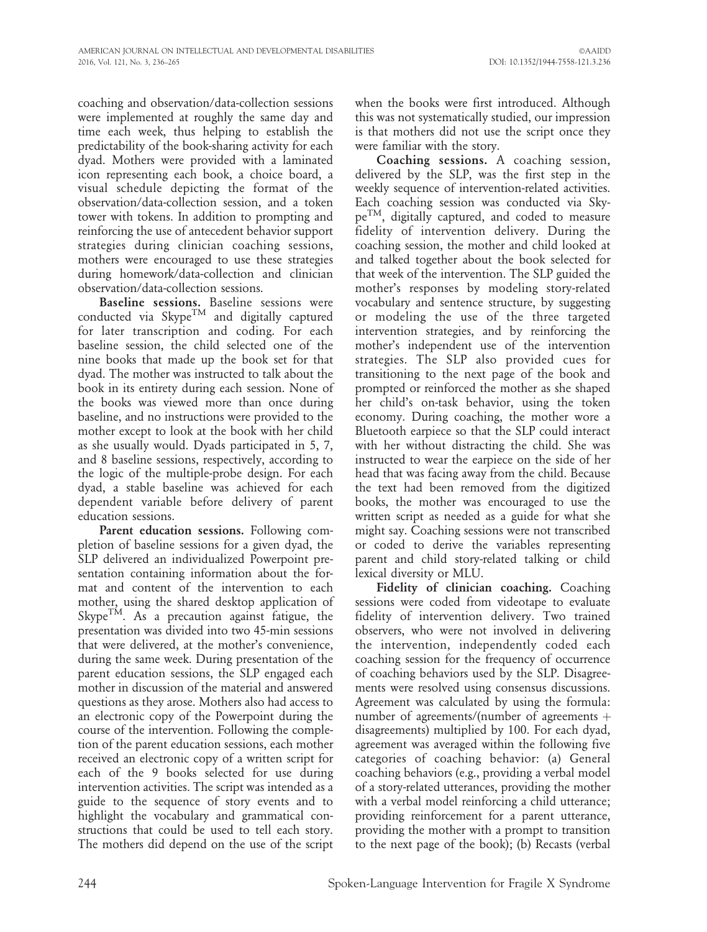coaching and observation/data-collection sessions were implemented at roughly the same day and time each week, thus helping to establish the predictability of the book-sharing activity for each dyad. Mothers were provided with a laminated icon representing each book, a choice board, a visual schedule depicting the format of the observation/data-collection session, and a token tower with tokens. In addition to prompting and reinforcing the use of antecedent behavior support strategies during clinician coaching sessions, mothers were encouraged to use these strategies during homework/data-collection and clinician observation/data-collection sessions.

Baseline sessions. Baseline sessions were conducted via Skype<sup>TM</sup> and digitally captured for later transcription and coding. For each baseline session, the child selected one of the nine books that made up the book set for that dyad. The mother was instructed to talk about the book in its entirety during each session. None of the books was viewed more than once during baseline, and no instructions were provided to the mother except to look at the book with her child as she usually would. Dyads participated in 5, 7, and 8 baseline sessions, respectively, according to the logic of the multiple-probe design. For each dyad, a stable baseline was achieved for each dependent variable before delivery of parent education sessions.

Parent education sessions. Following completion of baseline sessions for a given dyad, the SLP delivered an individualized Powerpoint presentation containing information about the format and content of the intervention to each mother, using the shared desktop application of  $\text{Skype}^{\text{TM}}$ . As a precaution against fatigue, the presentation was divided into two 45-min sessions that were delivered, at the mother's convenience, during the same week. During presentation of the parent education sessions, the SLP engaged each mother in discussion of the material and answered questions as they arose. Mothers also had access to an electronic copy of the Powerpoint during the course of the intervention. Following the completion of the parent education sessions, each mother received an electronic copy of a written script for each of the 9 books selected for use during intervention activities. The script was intended as a guide to the sequence of story events and to highlight the vocabulary and grammatical constructions that could be used to tell each story. The mothers did depend on the use of the script

when the books were first introduced. Although this was not systematically studied, our impression is that mothers did not use the script once they were familiar with the story.

Coaching sessions. A coaching session, delivered by the SLP, was the first step in the weekly sequence of intervention-related activities. Each coaching session was conducted via SkypeTM, digitally captured, and coded to measure fidelity of intervention delivery. During the coaching session, the mother and child looked at and talked together about the book selected for that week of the intervention. The SLP guided the mother's responses by modeling story-related vocabulary and sentence structure, by suggesting or modeling the use of the three targeted intervention strategies, and by reinforcing the mother's independent use of the intervention strategies. The SLP also provided cues for transitioning to the next page of the book and prompted or reinforced the mother as she shaped her child's on-task behavior, using the token economy. During coaching, the mother wore a Bluetooth earpiece so that the SLP could interact with her without distracting the child. She was instructed to wear the earpiece on the side of her head that was facing away from the child. Because the text had been removed from the digitized books, the mother was encouraged to use the written script as needed as a guide for what she might say. Coaching sessions were not transcribed or coded to derive the variables representing parent and child story-related talking or child lexical diversity or MLU.

Fidelity of clinician coaching. Coaching sessions were coded from videotape to evaluate fidelity of intervention delivery. Two trained observers, who were not involved in delivering the intervention, independently coded each coaching session for the frequency of occurrence of coaching behaviors used by the SLP. Disagreements were resolved using consensus discussions. Agreement was calculated by using the formula: number of agreements/(number of agreements  $+$ disagreements) multiplied by 100. For each dyad, agreement was averaged within the following five categories of coaching behavior: (a) General coaching behaviors (e.g., providing a verbal model of a story-related utterances, providing the mother with a verbal model reinforcing a child utterance; providing reinforcement for a parent utterance, providing the mother with a prompt to transition to the next page of the book); (b) Recasts (verbal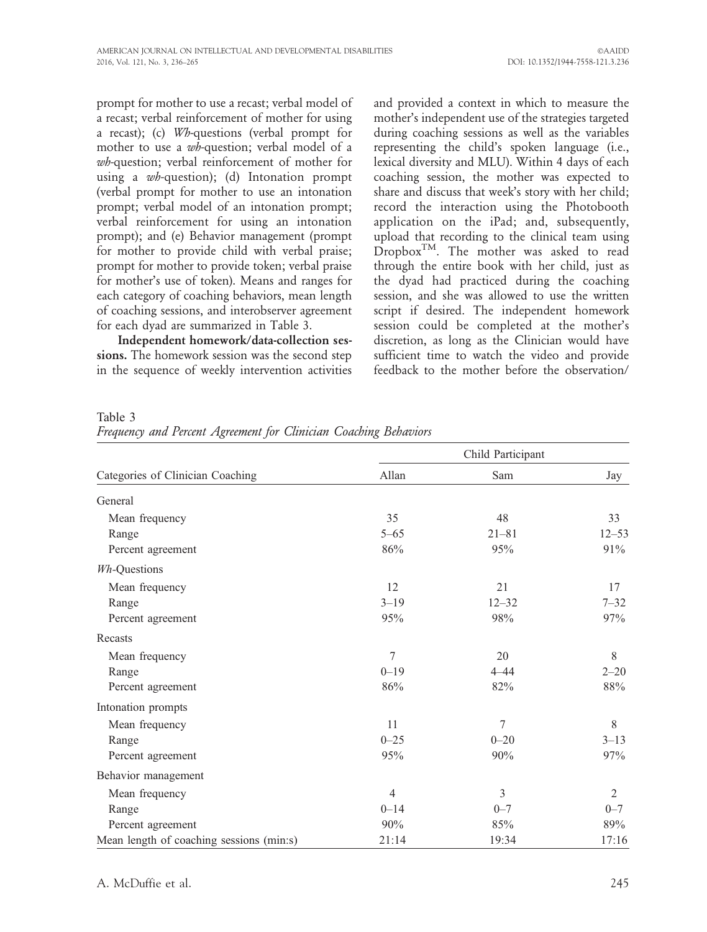prompt for mother to use a recast; verbal model of a recast; verbal reinforcement of mother for using a recast); (c) Wh-questions (verbal prompt for mother to use a wh-question; verbal model of a wh-question; verbal reinforcement of mother for using a wh-question); (d) Intonation prompt (verbal prompt for mother to use an intonation prompt; verbal model of an intonation prompt; verbal reinforcement for using an intonation prompt); and (e) Behavior management (prompt for mother to provide child with verbal praise; prompt for mother to provide token; verbal praise for mother's use of token). Means and ranges for each category of coaching behaviors, mean length of coaching sessions, and interobserver agreement for each dyad are summarized in Table 3.

Independent homework/data-collection sessions. The homework session was the second step in the sequence of weekly intervention activities

and provided a context in which to measure the mother's independent use of the strategies targeted during coaching sessions as well as the variables representing the child's spoken language (i.e., lexical diversity and MLU). Within 4 days of each coaching session, the mother was expected to share and discuss that week's story with her child; record the interaction using the Photobooth application on the iPad; and, subsequently, upload that recording to the clinical team using  $D$ ropbox<sup>TM</sup>. The mother was asked to read through the entire book with her child, just as the dyad had practiced during the coaching session, and she was allowed to use the written script if desired. The independent homework session could be completed at the mother's discretion, as long as the Clinician would have sufficient time to watch the video and provide feedback to the mother before the observation/

Table 3

Frequency and Percent Agreement for Clinician Coaching Behaviors

|                                          | Child Participant |           |                |  |  |  |
|------------------------------------------|-------------------|-----------|----------------|--|--|--|
| Categories of Clinician Coaching         | Allan             | Sam       | Jay            |  |  |  |
| General                                  |                   |           |                |  |  |  |
| Mean frequency                           | 35                | 48        | 33             |  |  |  |
| Range                                    | $5 - 65$          | $21 - 81$ | $12 - 53$      |  |  |  |
| Percent agreement                        | 86%               | 95%       | 91%            |  |  |  |
| Wh-Questions                             |                   |           |                |  |  |  |
| Mean frequency                           | 12                | 21        | 17             |  |  |  |
| Range                                    | $3 - 19$          | $12 - 32$ | $7 - 32$       |  |  |  |
| Percent agreement                        | 95%               | 98%       | 97%            |  |  |  |
| Recasts                                  |                   |           |                |  |  |  |
| Mean frequency                           | $\overline{7}$    | 20        | 8              |  |  |  |
| Range                                    | $0 - 19$          | $4 - 44$  | $2 - 20$       |  |  |  |
| Percent agreement                        | 86%               | 82%       | 88%            |  |  |  |
| Intonation prompts                       |                   |           |                |  |  |  |
| Mean frequency                           | 11                | $\tau$    | 8              |  |  |  |
| Range                                    | $0 - 25$          | $0 - 20$  | $3 - 13$       |  |  |  |
| Percent agreement                        | 95%               | 90%       | 97%            |  |  |  |
| Behavior management                      |                   |           |                |  |  |  |
| Mean frequency                           | $\overline{4}$    | 3         | $\overline{2}$ |  |  |  |
| Range                                    | $0 - 14$          | $0 - 7$   | $0 - 7$        |  |  |  |
| Percent agreement                        | 90%               | 85%       | 89%            |  |  |  |
| Mean length of coaching sessions (min:s) | 21:14             | 19:34     | 17:16          |  |  |  |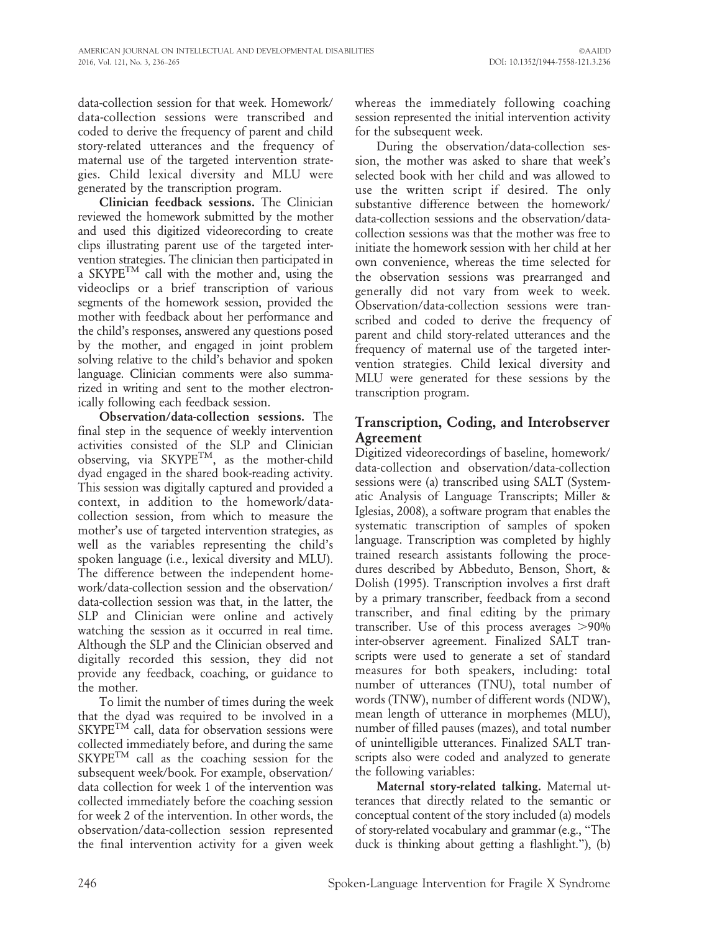data-collection session for that week. Homework/ data-collection sessions were transcribed and coded to derive the frequency of parent and child story-related utterances and the frequency of maternal use of the targeted intervention strategies. Child lexical diversity and MLU were generated by the transcription program.

Clinician feedback sessions. The Clinician reviewed the homework submitted by the mother and used this digitized videorecording to create clips illustrating parent use of the targeted intervention strategies. The clinician then participated in a SKYPE<sup>TM</sup> call with the mother and, using the videoclips or a brief transcription of various segments of the homework session, provided the mother with feedback about her performance and the child's responses, answered any questions posed by the mother, and engaged in joint problem solving relative to the child's behavior and spoken language. Clinician comments were also summarized in writing and sent to the mother electronically following each feedback session.

Observation/data-collection sessions. The final step in the sequence of weekly intervention activities consisted of the SLP and Clinician observing, via SKYPETM, as the mother-child dyad engaged in the shared book-reading activity. This session was digitally captured and provided a context, in addition to the homework/datacollection session, from which to measure the mother's use of targeted intervention strategies, as well as the variables representing the child's spoken language (i.e., lexical diversity and MLU). The difference between the independent homework/data-collection session and the observation/ data-collection session was that, in the latter, the SLP and Clinician were online and actively watching the session as it occurred in real time. Although the SLP and the Clinician observed and digitally recorded this session, they did not provide any feedback, coaching, or guidance to the mother.

To limit the number of times during the week that the dyad was required to be involved in a  $SKYPE<sup>TM</sup>$  call, data for observation sessions were collected immediately before, and during the same SKYPETM call as the coaching session for the subsequent week/book. For example, observation/ data collection for week 1 of the intervention was collected immediately before the coaching session for week 2 of the intervention. In other words, the observation/data-collection session represented the final intervention activity for a given week whereas the immediately following coaching session represented the initial intervention activity for the subsequent week.

During the observation/data-collection session, the mother was asked to share that week's selected book with her child and was allowed to use the written script if desired. The only substantive difference between the homework/ data-collection sessions and the observation/datacollection sessions was that the mother was free to initiate the homework session with her child at her own convenience, whereas the time selected for the observation sessions was prearranged and generally did not vary from week to week. Observation/data-collection sessions were transcribed and coded to derive the frequency of parent and child story-related utterances and the frequency of maternal use of the targeted intervention strategies. Child lexical diversity and MLU were generated for these sessions by the transcription program.

# Transcription, Coding, and Interobserver Agreement

Digitized videorecordings of baseline, homework/ data-collection and observation/data-collection sessions were (a) transcribed using SALT (Systematic Analysis of Language Transcripts; Miller & Iglesias, 2008), a software program that enables the systematic transcription of samples of spoken language. Transcription was completed by highly trained research assistants following the procedures described by Abbeduto, Benson, Short, & Dolish (1995). Transcription involves a first draft by a primary transcriber, feedback from a second transcriber, and final editing by the primary transcriber. Use of this process averages  $>90\%$ inter-observer agreement. Finalized SALT transcripts were used to generate a set of standard measures for both speakers, including: total number of utterances (TNU), total number of words (TNW), number of different words (NDW), mean length of utterance in morphemes (MLU), number of filled pauses (mazes), and total number of unintelligible utterances. Finalized SALT transcripts also were coded and analyzed to generate the following variables:

Maternal story-related talking. Maternal utterances that directly related to the semantic or conceptual content of the story included (a) models of story-related vocabulary and grammar (e.g., ''The duck is thinking about getting a flashlight.''), (b)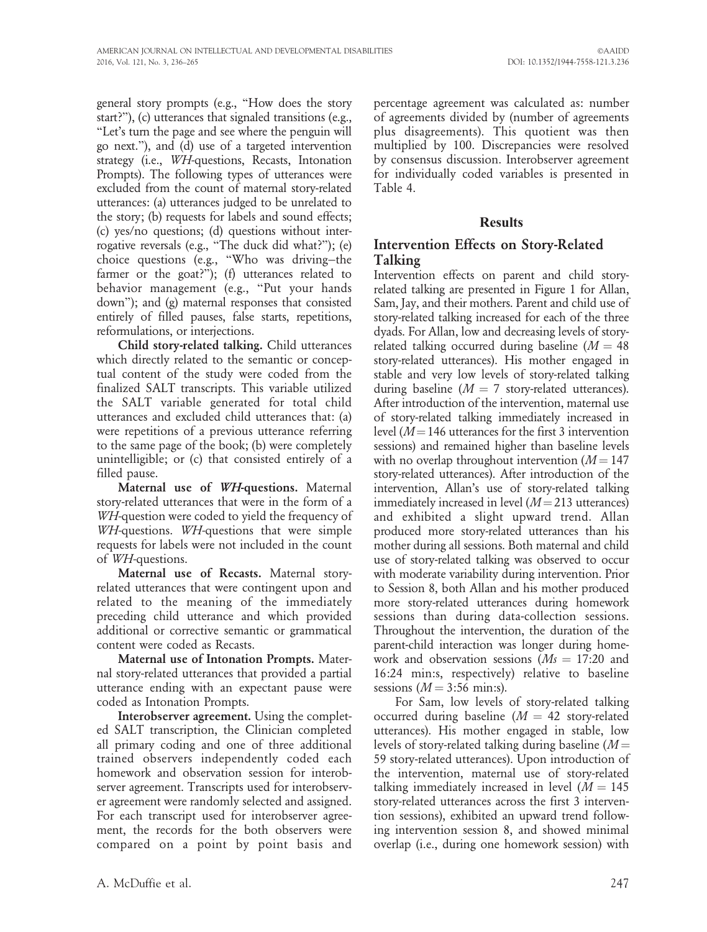general story prompts (e.g., ''How does the story start?''), (c) utterances that signaled transitions (e.g., ''Let's turn the page and see where the penguin will go next.''), and (d) use of a targeted intervention strategy (i.e., WH-questions, Recasts, Intonation Prompts). The following types of utterances were excluded from the count of maternal story-related utterances: (a) utterances judged to be unrelated to the story; (b) requests for labels and sound effects; (c) yes/no questions; (d) questions without interrogative reversals (e.g., ''The duck did what?''); (e) choice questions (e.g., ''Who was driving—the farmer or the goat?''); (f) utterances related to behavior management (e.g., ''Put your hands down''); and (g) maternal responses that consisted entirely of filled pauses, false starts, repetitions, reformulations, or interjections.

Child story-related talking. Child utterances which directly related to the semantic or conceptual content of the study were coded from the finalized SALT transcripts. This variable utilized the SALT variable generated for total child utterances and excluded child utterances that: (a) were repetitions of a previous utterance referring to the same page of the book; (b) were completely unintelligible; or (c) that consisted entirely of a filled pause.

Maternal use of WH-questions. Maternal story-related utterances that were in the form of a WH-question were coded to yield the frequency of WH-questions. WH-questions that were simple requests for labels were not included in the count of WH-questions.

Maternal use of Recasts. Maternal storyrelated utterances that were contingent upon and related to the meaning of the immediately preceding child utterance and which provided additional or corrective semantic or grammatical content were coded as Recasts.

Maternal use of Intonation Prompts. Maternal story-related utterances that provided a partial utterance ending with an expectant pause were coded as Intonation Prompts.

Interobserver agreement. Using the completed SALT transcription, the Clinician completed all primary coding and one of three additional trained observers independently coded each homework and observation session for interobserver agreement. Transcripts used for interobserver agreement were randomly selected and assigned. For each transcript used for interobserver agreement, the records for the both observers were compared on a point by point basis and

percentage agreement was calculated as: number of agreements divided by (number of agreements plus disagreements). This quotient was then multiplied by 100. Discrepancies were resolved by consensus discussion. Interobserver agreement for individually coded variables is presented in Table 4.

#### Results

### Intervention Effects on Story-Related Talking

Intervention effects on parent and child storyrelated talking are presented in Figure 1 for Allan, Sam, Jay, and their mothers. Parent and child use of story-related talking increased for each of the three dyads. For Allan, low and decreasing levels of storyrelated talking occurred during baseline  $(M = 48$ story-related utterances). His mother engaged in stable and very low levels of story-related talking during baseline ( $M = 7$  story-related utterances). After introduction of the intervention, maternal use of story-related talking immediately increased in level  $(M=146$  utterances for the first 3 intervention sessions) and remained higher than baseline levels with no overlap throughout intervention  $(M = 147)$ story-related utterances). After introduction of the intervention, Allan's use of story-related talking immediately increased in level  $(M=213$  utterances) and exhibited a slight upward trend. Allan produced more story-related utterances than his mother during all sessions. Both maternal and child use of story-related talking was observed to occur with moderate variability during intervention. Prior to Session 8, both Allan and his mother produced more story-related utterances during homework sessions than during data-collection sessions. Throughout the intervention, the duration of the parent-child interaction was longer during homework and observation sessions  $(Ms = 17:20$  and 16:24 min:s, respectively) relative to baseline sessions ( $M = 3:56$  min:s).

For Sam, low levels of story-related talking occurred during baseline  $(M = 42$  story-related utterances). His mother engaged in stable, low levels of story-related talking during baseline ( $M =$ 59 story-related utterances). Upon introduction of the intervention, maternal use of story-related talking immediately increased in level ( $M = 145$ story-related utterances across the first 3 intervention sessions), exhibited an upward trend following intervention session 8, and showed minimal overlap (i.e., during one homework session) with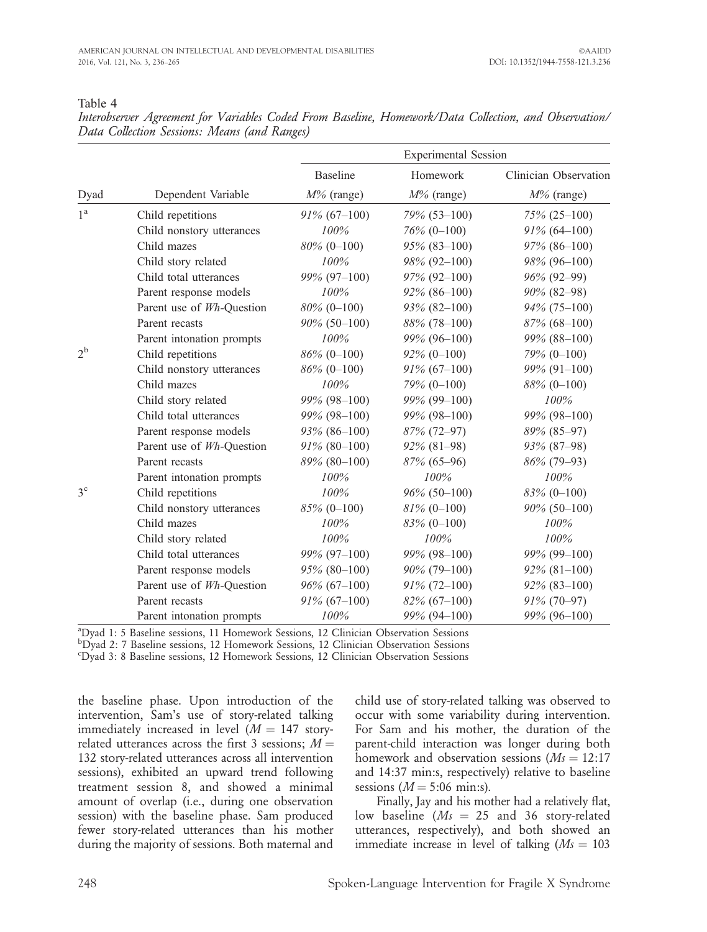#### Table 4

|                |                           | <b>Experimental Session</b> |                   |                       |  |  |  |  |
|----------------|---------------------------|-----------------------------|-------------------|-----------------------|--|--|--|--|
|                |                           | <b>Baseline</b>             | Homework          | Clinician Observation |  |  |  |  |
| Dyad           | Dependent Variable        | $M\%$ (range)               | $M\%$ (range)     | $M\%$ (range)         |  |  |  |  |
| 1 <sup>a</sup> | Child repetitions         | $91\% (67-100)$             | $79\%$ (53-100)   | $75\% (25-100)$       |  |  |  |  |
|                | Child nonstory utterances | 100%                        | $76\%$ (0-100)    | $91\%$ (64-100)       |  |  |  |  |
|                | Child mazes               | $80\%$ (0-100)              | $95\%$ (83-100)   | $97\%$ (86-100)       |  |  |  |  |
|                | Child story related       | 100%                        | $98\%$ (92-100)   | 98% (96-100)          |  |  |  |  |
|                | Child total utterances    | 99% (97-100)                | $97\% (92 - 100)$ | 96% (92-99)           |  |  |  |  |
|                | Parent response models    | 100%                        | $92\%$ (86-100)   | $90\%$ (82-98)        |  |  |  |  |
|                | Parent use of Wh-Question | $80\%$ (0-100)              | $93\%$ (82-100)   | $94\% (75 - 100)$     |  |  |  |  |
|                | Parent recasts            | $90\%$ (50-100)             | 88% (78-100)      | $87\%$ (68-100)       |  |  |  |  |
|                | Parent intonation prompts | 100%                        | 99% (96-100)      | 99% (88-100)          |  |  |  |  |
| $2^{\rm b}$    | Child repetitions         | $86\%$ (0-100)              | $92\% (0-100)$    | $79\% (0-100)$        |  |  |  |  |
|                | Child nonstory utterances | $86\%$ (0-100)              | $91\% (67-100)$   | 99% (91-100)          |  |  |  |  |
|                | Child mazes               | 100%                        | $79\%$ (0-100)    | $88\%$ (0-100)        |  |  |  |  |
|                | Child story related       | 99% (98-100)                | 99% (99-100)      | 100%                  |  |  |  |  |
|                | Child total utterances    | 99% (98-100)                | 99% (98-100)      | 99% (98-100)          |  |  |  |  |
|                | Parent response models    | $93\%$ (86-100)             | $87\%$ (72-97)    | 89% (85-97)           |  |  |  |  |
|                | Parent use of Wh-Question | $91\%$ (80-100)             | 92% (81-98)       | 93% (87-98)           |  |  |  |  |
|                | Parent recasts            | 89% (80-100)                | $87\%$ (65-96)    | $86\%$ (79-93)        |  |  |  |  |
|                | Parent intonation prompts | 100%                        | 100%              | 100%                  |  |  |  |  |
| $3^{\circ}$    | Child repetitions         | 100%                        | $96\%$ (50-100)   | $83\%$ (0-100)        |  |  |  |  |
|                | Child nonstory utterances | $85\%$ (0-100)              | $81\%$ (0-100)    | $90\%$ (50-100)       |  |  |  |  |
|                | Child mazes               | 100%                        | $83\%$ (0-100)    | 100%                  |  |  |  |  |
|                | Child story related       | 100%                        | 100%              | 100%                  |  |  |  |  |
|                | Child total utterances    | $99\% (97-100)$             | 99% (98-100)      | 99% (99-100)          |  |  |  |  |
|                | Parent response models    | $95\%$ (80-100)             | $90\%$ (79-100)   | $92\%$ (81-100)       |  |  |  |  |
|                | Parent use of Wh-Question | $96\% (67-100)$             | $91\% (72 - 100)$ | $92\%$ (83-100)       |  |  |  |  |
|                | Parent recasts            | $91\% (67-100)$             | $82\%$ (67-100)   | $91\%$ (70-97)        |  |  |  |  |
|                | Parent intonation prompts | 100%                        | 99% (94-100)      | 99% (96-100)          |  |  |  |  |

|                                              |  | Interobserver Agreement for Variables Coded From Baseline, Homework/Data Collection, and Observation/ |  |  |
|----------------------------------------------|--|-------------------------------------------------------------------------------------------------------|--|--|
| Data Collection Sessions: Means (and Ranges) |  |                                                                                                       |  |  |

a Dyad 1: 5 Baseline sessions, 11 Homework Sessions, 12 Clinician Observation Sessions

b Dyad 2: 7 Baseline sessions, 12 Homework Sessions, 12 Clinician Observation Sessions

c Dyad 3: 8 Baseline sessions, 12 Homework Sessions, 12 Clinician Observation Sessions

the baseline phase. Upon introduction of the intervention, Sam's use of story-related talking immediately increased in level  $(M = 147$  storyrelated utterances across the first 3 sessions;  $M =$ 132 story-related utterances across all intervention sessions), exhibited an upward trend following treatment session 8, and showed a minimal amount of overlap (i.e., during one observation session) with the baseline phase. Sam produced fewer story-related utterances than his mother during the majority of sessions. Both maternal and

child use of story-related talking was observed to occur with some variability during intervention. For Sam and his mother, the duration of the parent-child interaction was longer during both homework and observation sessions ( $Ms = 12:17$ and 14:37 min:s, respectively) relative to baseline sessions ( $M = 5:06$  min:s).

Finally, Jay and his mother had a relatively flat, low baseline ( $Ms = 25$  and 36 story-related utterances, respectively), and both showed an immediate increase in level of talking  $(Ms = 103$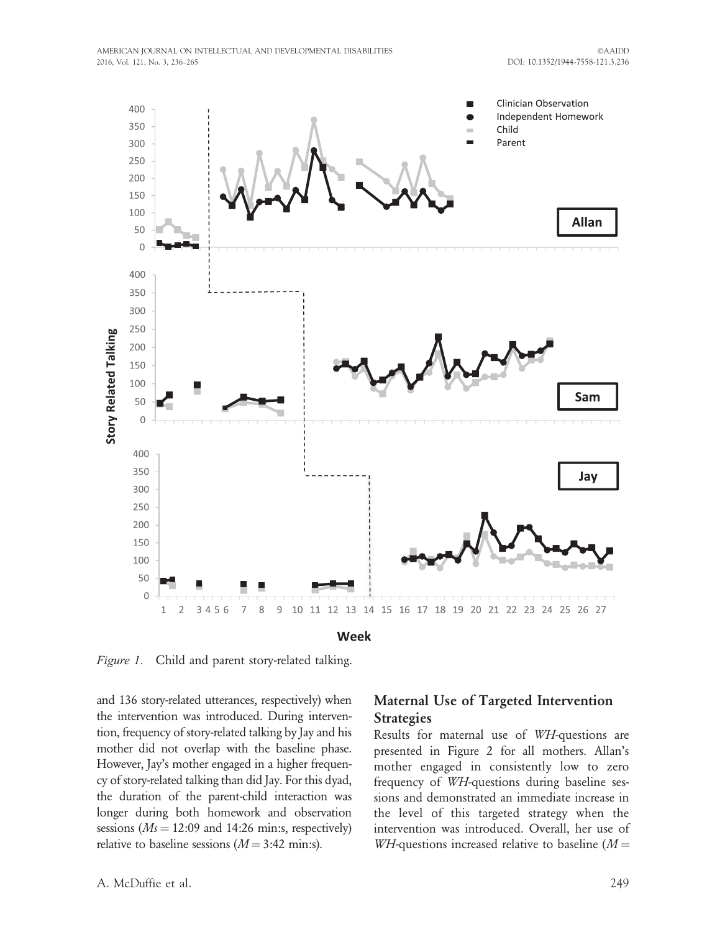

Figure 1. Child and parent story-related talking.

and 136 story-related utterances, respectively) when the intervention was introduced. During intervention, frequency of story-related talking by Jay and his mother did not overlap with the baseline phase. However, Jay's mother engaged in a higher frequency of story-related talking than did Jay. For this dyad, the duration of the parent-child interaction was longer during both homework and observation sessions ( $Ms = 12:09$  and 14:26 min:s, respectively) relative to baseline sessions  $(M = 3:42 \text{ min:s})$ .

# Maternal Use of Targeted Intervention **Strategies**

Results for maternal use of WH-questions are presented in Figure 2 for all mothers. Allan's mother engaged in consistently low to zero frequency of WH-questions during baseline sessions and demonstrated an immediate increase in the level of this targeted strategy when the intervention was introduced. Overall, her use of WH-questions increased relative to baseline  $(M =$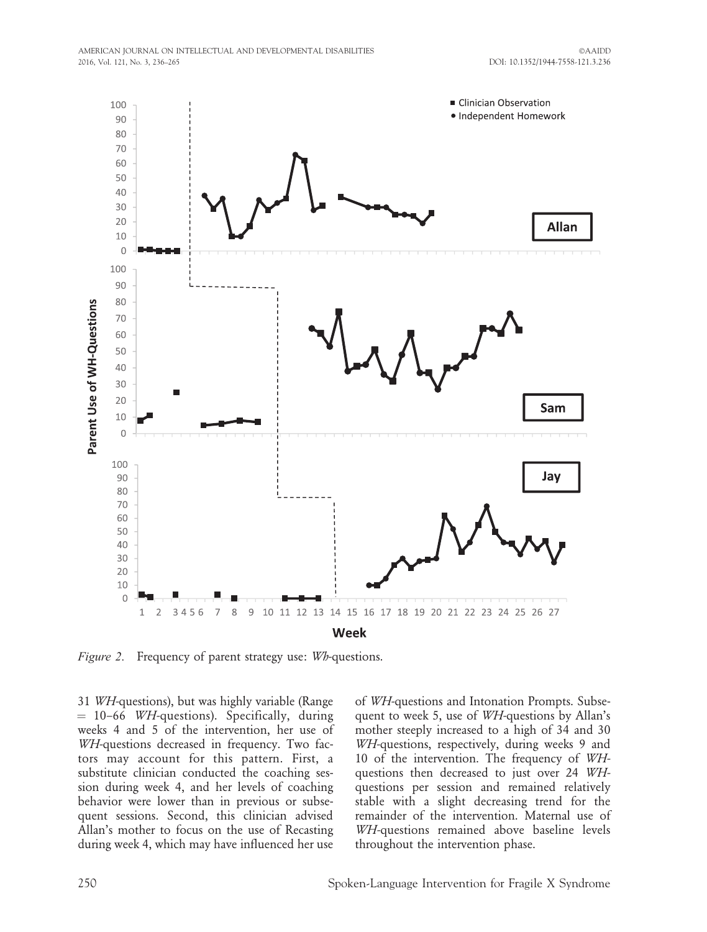

Figure 2. Frequency of parent strategy use: Wh-questions.

31 WH-questions), but was highly variable (Range  $= 10-66$  *WH*-questions). Specifically, during weeks 4 and 5 of the intervention, her use of WH-questions decreased in frequency. Two factors may account for this pattern. First, a substitute clinician conducted the coaching session during week 4, and her levels of coaching behavior were lower than in previous or subsequent sessions. Second, this clinician advised Allan's mother to focus on the use of Recasting during week 4, which may have influenced her use

of WH-questions and Intonation Prompts. Subsequent to week 5, use of WH-questions by Allan's mother steeply increased to a high of 34 and 30 WH-questions, respectively, during weeks 9 and 10 of the intervention. The frequency of WHquestions then decreased to just over 24 WHquestions per session and remained relatively stable with a slight decreasing trend for the remainder of the intervention. Maternal use of WH-questions remained above baseline levels throughout the intervention phase.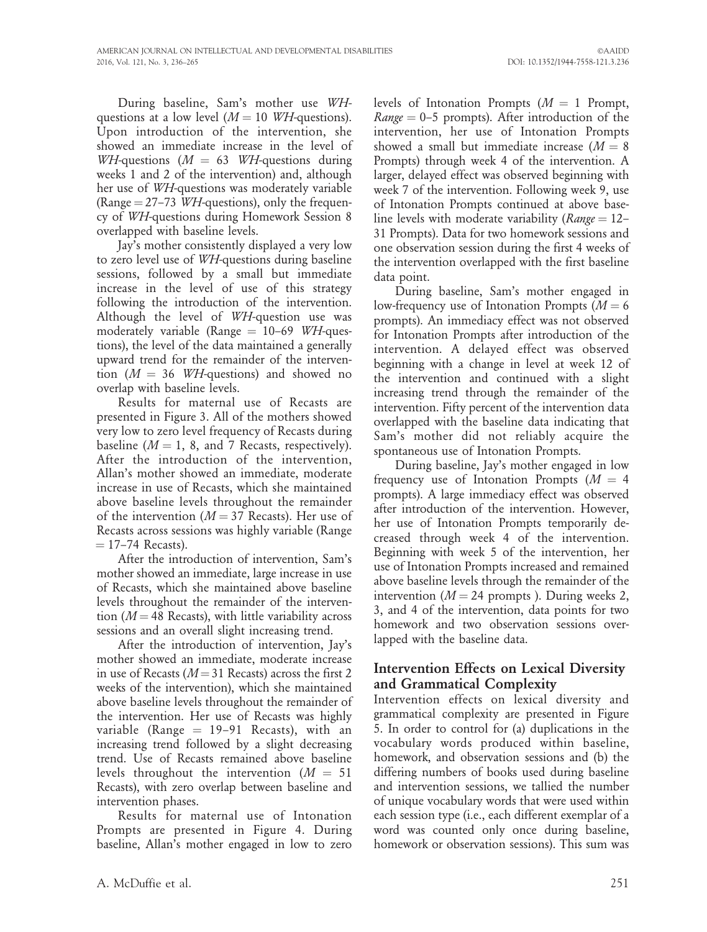During baseline, Sam's mother use WHquestions at a low level ( $M = 10$  WH-questions). Upon introduction of the intervention, she showed an immediate increase in the level of WH-questions ( $M = 63$  WH-questions during weeks 1 and 2 of the intervention) and, although her use of WH-questions was moderately variable (Range  $=$  27–73 *WH*-questions), only the frequency of WH-questions during Homework Session 8 overlapped with baseline levels.

Jay's mother consistently displayed a very low to zero level use of WH-questions during baseline sessions, followed by a small but immediate increase in the level of use of this strategy following the introduction of the intervention. Although the level of WH-question use was moderately variable (Range  $= 10-69$  WH-questions), the level of the data maintained a generally upward trend for the remainder of the intervention ( $M = 36$  WH-questions) and showed no overlap with baseline levels.

Results for maternal use of Recasts are presented in Figure 3. All of the mothers showed very low to zero level frequency of Recasts during baseline ( $M = 1$ , 8, and 7 Recasts, respectively). After the introduction of the intervention, Allan's mother showed an immediate, moderate increase in use of Recasts, which she maintained above baseline levels throughout the remainder of the intervention ( $M = 37$  Recasts). Her use of Recasts across sessions was highly variable (Range  $= 17-74$  Recasts).

After the introduction of intervention, Sam's mother showed an immediate, large increase in use of Recasts, which she maintained above baseline levels throughout the remainder of the intervention ( $M = 48$  Recasts), with little variability across sessions and an overall slight increasing trend.

After the introduction of intervention, Jay's mother showed an immediate, moderate increase in use of Recasts ( $M = 31$  Recasts) across the first 2 weeks of the intervention), which she maintained above baseline levels throughout the remainder of the intervention. Her use of Recasts was highly variable (Range  $= 19-91$  Recasts), with an increasing trend followed by a slight decreasing trend. Use of Recasts remained above baseline levels throughout the intervention  $(M = 51)$ Recasts), with zero overlap between baseline and intervention phases.

Results for maternal use of Intonation Prompts are presented in Figure 4. During baseline, Allan's mother engaged in low to zero

levels of Intonation Prompts ( $M = 1$  Prompt, *Range*  $= 0-5$  prompts). After introduction of the intervention, her use of Intonation Prompts showed a small but immediate increase  $(M = 8)$ Prompts) through week 4 of the intervention. A larger, delayed effect was observed beginning with week 7 of the intervention. Following week 9, use of Intonation Prompts continued at above baseline levels with moderate variability ( $Range = 12-$ 31 Prompts). Data for two homework sessions and one observation session during the first 4 weeks of the intervention overlapped with the first baseline data point.

During baseline, Sam's mother engaged in low-frequency use of Intonation Prompts ( $M = 6$ ) prompts). An immediacy effect was not observed for Intonation Prompts after introduction of the intervention. A delayed effect was observed beginning with a change in level at week 12 of the intervention and continued with a slight increasing trend through the remainder of the intervention. Fifty percent of the intervention data overlapped with the baseline data indicating that Sam's mother did not reliably acquire the spontaneous use of Intonation Prompts.

During baseline, Jay's mother engaged in low frequency use of Intonation Prompts  $(M = 4)$ prompts). A large immediacy effect was observed after introduction of the intervention. However, her use of Intonation Prompts temporarily decreased through week 4 of the intervention. Beginning with week 5 of the intervention, her use of Intonation Prompts increased and remained above baseline levels through the remainder of the intervention ( $M = 24$  prompts). During weeks 2, 3, and 4 of the intervention, data points for two homework and two observation sessions overlapped with the baseline data.

### Intervention Effects on Lexical Diversity and Grammatical Complexity

Intervention effects on lexical diversity and grammatical complexity are presented in Figure 5. In order to control for (a) duplications in the vocabulary words produced within baseline, homework, and observation sessions and (b) the differing numbers of books used during baseline and intervention sessions, we tallied the number of unique vocabulary words that were used within each session type (i.e., each different exemplar of a word was counted only once during baseline, homework or observation sessions). This sum was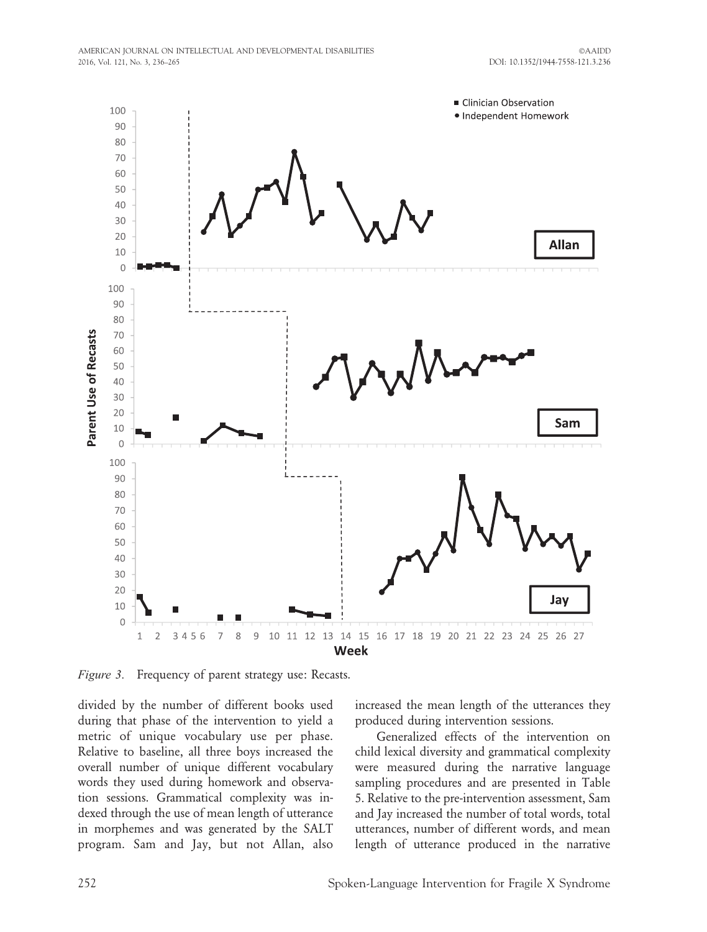

Figure 3. Frequency of parent strategy use: Recasts.

divided by the number of different books used during that phase of the intervention to yield a metric of unique vocabulary use per phase. Relative to baseline, all three boys increased the overall number of unique different vocabulary words they used during homework and observation sessions. Grammatical complexity was indexed through the use of mean length of utterance in morphemes and was generated by the SALT program. Sam and Jay, but not Allan, also

increased the mean length of the utterances they produced during intervention sessions.

Generalized effects of the intervention on child lexical diversity and grammatical complexity were measured during the narrative language sampling procedures and are presented in Table 5. Relative to the pre-intervention assessment, Sam and Jay increased the number of total words, total utterances, number of different words, and mean length of utterance produced in the narrative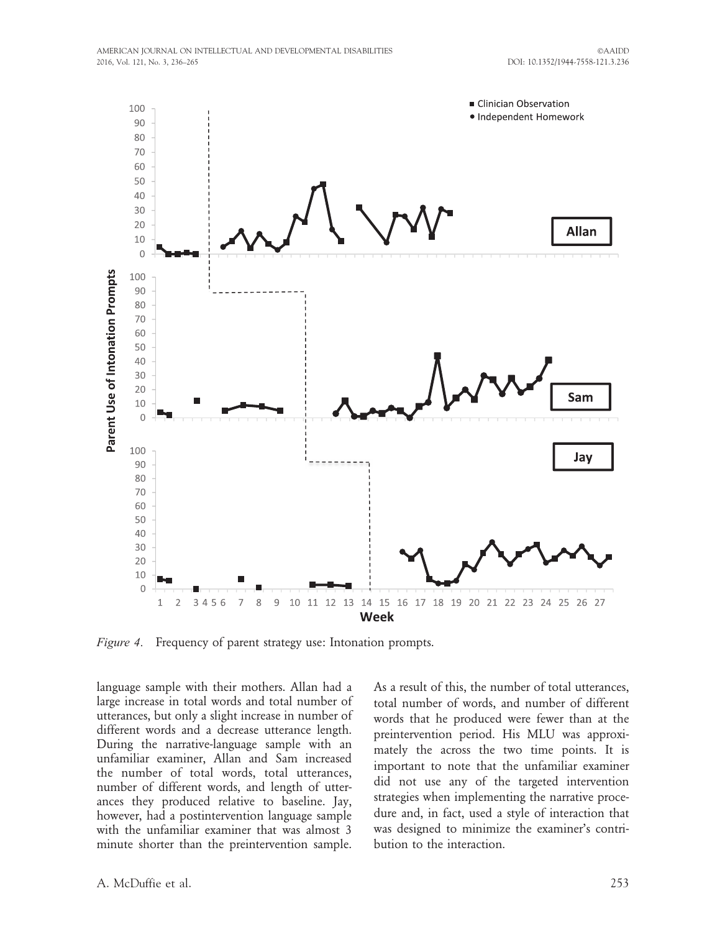

Figure 4. Frequency of parent strategy use: Intonation prompts.

language sample with their mothers. Allan had a large increase in total words and total number of utterances, but only a slight increase in number of different words and a decrease utterance length. During the narrative-language sample with an unfamiliar examiner, Allan and Sam increased the number of total words, total utterances, number of different words, and length of utterances they produced relative to baseline. Jay, however, had a postintervention language sample with the unfamiliar examiner that was almost 3 minute shorter than the preintervention sample.

As a result of this, the number of total utterances, total number of words, and number of different words that he produced were fewer than at the preintervention period. His MLU was approximately the across the two time points. It is important to note that the unfamiliar examiner did not use any of the targeted intervention strategies when implementing the narrative procedure and, in fact, used a style of interaction that was designed to minimize the examiner's contribution to the interaction.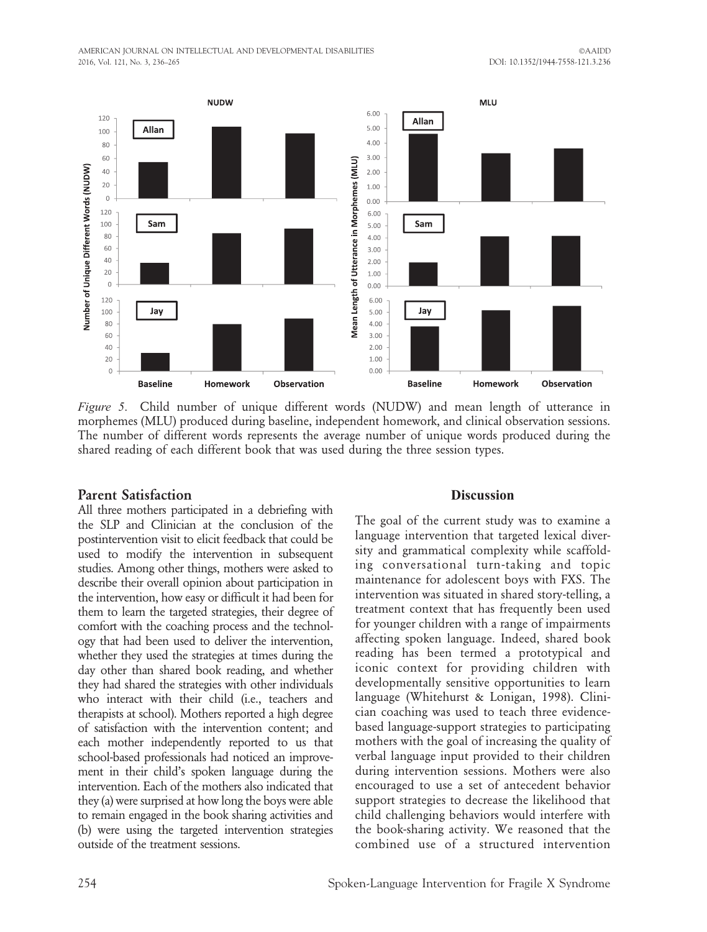

Figure 5. Child number of unique different words (NUDW) and mean length of utterance in morphemes (MLU) produced during baseline, independent homework, and clinical observation sessions. The number of different words represents the average number of unique words produced during the shared reading of each different book that was used during the three session types.

#### Parent Satisfaction

All three mothers participated in a debriefing with the SLP and Clinician at the conclusion of the postintervention visit to elicit feedback that could be used to modify the intervention in subsequent studies. Among other things, mothers were asked to describe their overall opinion about participation in the intervention, how easy or difficult it had been for them to learn the targeted strategies, their degree of comfort with the coaching process and the technology that had been used to deliver the intervention, whether they used the strategies at times during the day other than shared book reading, and whether they had shared the strategies with other individuals who interact with their child (i.e., teachers and therapists at school). Mothers reported a high degree of satisfaction with the intervention content; and each mother independently reported to us that school-based professionals had noticed an improvement in their child's spoken language during the intervention. Each of the mothers also indicated that they (a) were surprised at how long the boys were able to remain engaged in the book sharing activities and (b) were using the targeted intervention strategies outside of the treatment sessions.

#### Discussion

The goal of the current study was to examine a language intervention that targeted lexical diversity and grammatical complexity while scaffolding conversational turn-taking and topic maintenance for adolescent boys with FXS. The intervention was situated in shared story-telling, a treatment context that has frequently been used for younger children with a range of impairments affecting spoken language. Indeed, shared book reading has been termed a prototypical and iconic context for providing children with developmentally sensitive opportunities to learn language (Whitehurst & Lonigan, 1998). Clinician coaching was used to teach three evidencebased language-support strategies to participating mothers with the goal of increasing the quality of verbal language input provided to their children during intervention sessions. Mothers were also encouraged to use a set of antecedent behavior support strategies to decrease the likelihood that child challenging behaviors would interfere with the book-sharing activity. We reasoned that the combined use of a structured intervention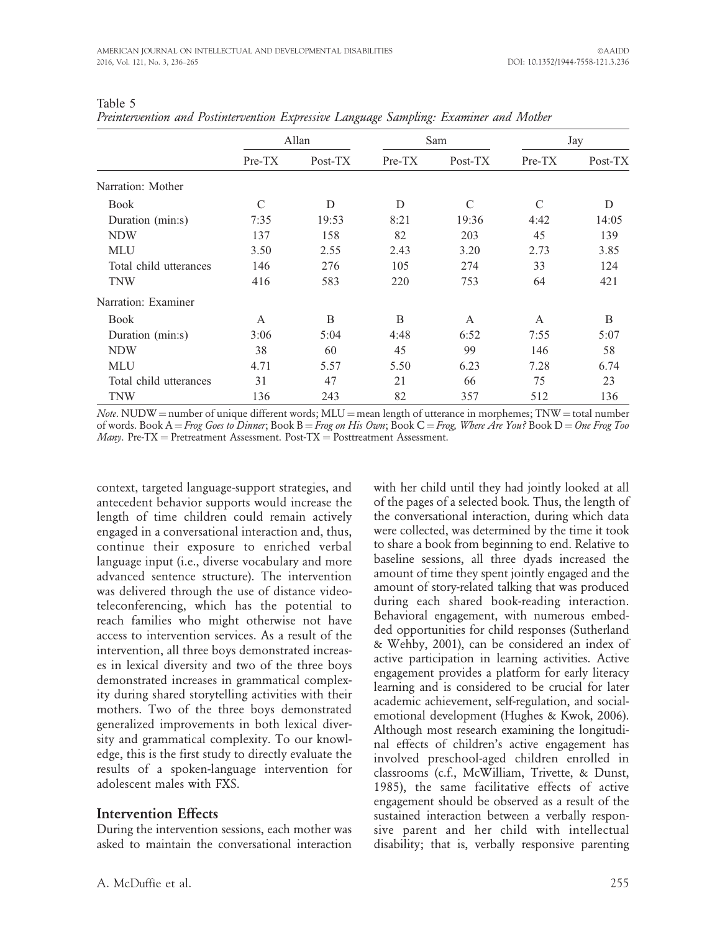|                        | Allan         |         |          | Sam           | Jay           |         |  |
|------------------------|---------------|---------|----------|---------------|---------------|---------|--|
|                        | Pre-TX        | Post-TX | $Pre-TX$ | Post-TX       | $Pre-TX$      | Post-TX |  |
| Narration: Mother      |               |         |          |               |               |         |  |
| Book                   | $\mathcal{C}$ | D       | D        | $\mathcal{C}$ | $\mathcal{C}$ | D       |  |
| Duration (min:s)       | 7:35          | 19:53   | 8:21     | 19:36         | 4:42          | 14:05   |  |
| <b>NDW</b>             | 137           | 158     | 82       | 203           | 45            | 139     |  |
| <b>MLU</b>             | 3.50          | 2.55    | 2.43     | 3.20          | 2.73          | 3.85    |  |
| Total child utterances | 146           | 276     | 105      | 274           | 33            | 124     |  |
| <b>TNW</b>             | 416           | 583     | 220      | 753           | 64            | 421     |  |
| Narration: Examiner    |               |         |          |               |               |         |  |
| <b>Book</b>            | A             | B       | B        | A             | A             | B       |  |
| Duration (min:s)       | 3:06          | 5:04    | 4:48     | 6:52          | 7:55          | 5:07    |  |
| <b>NDW</b>             | 38            | 60      | 45       | 99            | 146           | 58      |  |
| <b>MLU</b>             | 4.71          | 5.57    | 5.50     | 6.23          | 7.28          | 6.74    |  |
| Total child utterances | 31            | 47      | 21       | 66            | 75            | 23      |  |
| <b>TNW</b>             | 136           | 243     | 82       | 357           | 512           | 136     |  |

#### Table 5

Preintervention and Postintervention Expressive Language Sampling: Examiner and Mother

 $Note. NUDW = number of unique different words; MLU = mean length of utterance in morphemes; TNW = total number of univer.$ of words. Book  $A = Frog$  Goes to Dinner; Book B = Frog on His Own; Book C = Frog, Where Are You? Book D = One Frog Too *Many*. Pre-TX = Pretreatment Assessment. Post-TX = Posttreatment Assessment.

context, targeted language-support strategies, and antecedent behavior supports would increase the length of time children could remain actively engaged in a conversational interaction and, thus, continue their exposure to enriched verbal language input (i.e., diverse vocabulary and more advanced sentence structure). The intervention was delivered through the use of distance videoteleconferencing, which has the potential to reach families who might otherwise not have access to intervention services. As a result of the intervention, all three boys demonstrated increases in lexical diversity and two of the three boys demonstrated increases in grammatical complexity during shared storytelling activities with their mothers. Two of the three boys demonstrated generalized improvements in both lexical diversity and grammatical complexity. To our knowledge, this is the first study to directly evaluate the results of a spoken-language intervention for adolescent males with FXS.

#### Intervention Effects

During the intervention sessions, each mother was asked to maintain the conversational interaction

with her child until they had jointly looked at all of the pages of a selected book. Thus, the length of the conversational interaction, during which data were collected, was determined by the time it took to share a book from beginning to end. Relative to baseline sessions, all three dyads increased the amount of time they spent jointly engaged and the amount of story-related talking that was produced during each shared book-reading interaction. Behavioral engagement, with numerous embedded opportunities for child responses (Sutherland & Wehby, 2001), can be considered an index of active participation in learning activities. Active engagement provides a platform for early literacy learning and is considered to be crucial for later academic achievement, self-regulation, and socialemotional development (Hughes & Kwok, 2006). Although most research examining the longitudinal effects of children's active engagement has involved preschool-aged children enrolled in classrooms (c.f., McWilliam, Trivette, & Dunst, 1985), the same facilitative effects of active engagement should be observed as a result of the sustained interaction between a verbally responsive parent and her child with intellectual disability; that is, verbally responsive parenting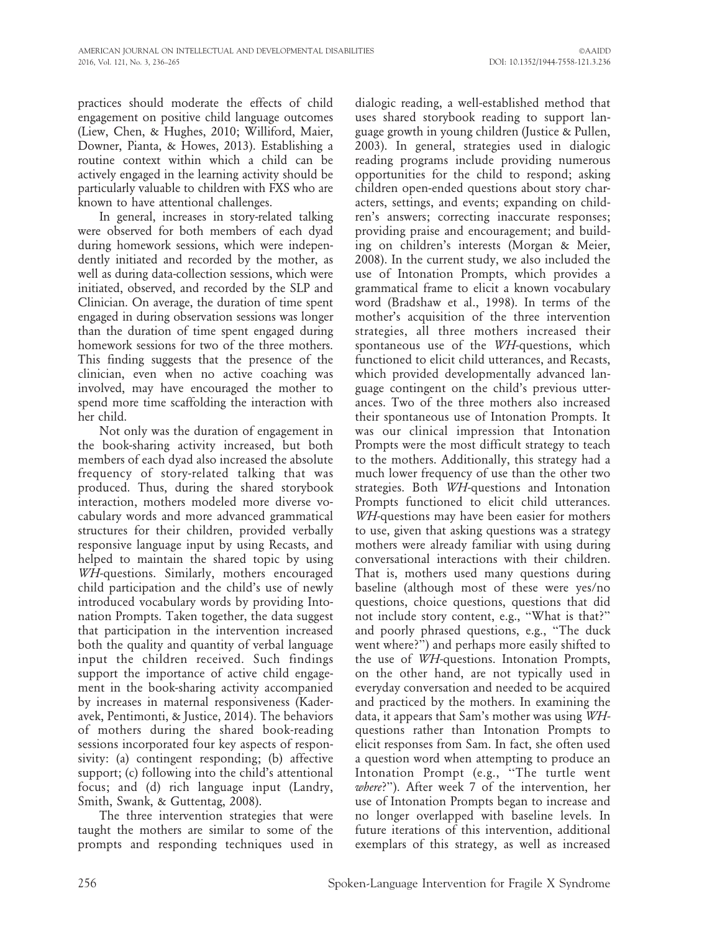practices should moderate the effects of child engagement on positive child language outcomes (Liew, Chen, & Hughes, 2010; Williford, Maier, Downer, Pianta, & Howes, 2013). Establishing a routine context within which a child can be actively engaged in the learning activity should be particularly valuable to children with FXS who are known to have attentional challenges.

In general, increases in story-related talking were observed for both members of each dyad during homework sessions, which were independently initiated and recorded by the mother, as well as during data-collection sessions, which were initiated, observed, and recorded by the SLP and Clinician. On average, the duration of time spent engaged in during observation sessions was longer than the duration of time spent engaged during homework sessions for two of the three mothers. This finding suggests that the presence of the clinician, even when no active coaching was involved, may have encouraged the mother to spend more time scaffolding the interaction with her child.

Not only was the duration of engagement in the book-sharing activity increased, but both members of each dyad also increased the absolute frequency of story-related talking that was produced. Thus, during the shared storybook interaction, mothers modeled more diverse vocabulary words and more advanced grammatical structures for their children, provided verbally responsive language input by using Recasts, and helped to maintain the shared topic by using WH-questions. Similarly, mothers encouraged child participation and the child's use of newly introduced vocabulary words by providing Intonation Prompts. Taken together, the data suggest that participation in the intervention increased both the quality and quantity of verbal language input the children received. Such findings support the importance of active child engagement in the book-sharing activity accompanied by increases in maternal responsiveness (Kaderavek, Pentimonti, & Justice, 2014). The behaviors of mothers during the shared book-reading sessions incorporated four key aspects of responsivity: (a) contingent responding; (b) affective support; (c) following into the child's attentional focus; and (d) rich language input (Landry, Smith, Swank, & Guttentag, 2008).

The three intervention strategies that were taught the mothers are similar to some of the prompts and responding techniques used in

dialogic reading, a well-established method that uses shared storybook reading to support language growth in young children (Justice & Pullen, 2003). In general, strategies used in dialogic reading programs include providing numerous opportunities for the child to respond; asking children open-ended questions about story characters, settings, and events; expanding on children's answers; correcting inaccurate responses; providing praise and encouragement; and building on children's interests (Morgan & Meier, 2008). In the current study, we also included the use of Intonation Prompts, which provides a grammatical frame to elicit a known vocabulary word (Bradshaw et al., 1998). In terms of the mother's acquisition of the three intervention strategies, all three mothers increased their spontaneous use of the WH-questions, which functioned to elicit child utterances, and Recasts, which provided developmentally advanced language contingent on the child's previous utterances. Two of the three mothers also increased their spontaneous use of Intonation Prompts. It was our clinical impression that Intonation Prompts were the most difficult strategy to teach to the mothers. Additionally, this strategy had a much lower frequency of use than the other two strategies. Both WH-questions and Intonation Prompts functioned to elicit child utterances. WH-questions may have been easier for mothers to use, given that asking questions was a strategy mothers were already familiar with using during conversational interactions with their children. That is, mothers used many questions during baseline (although most of these were yes/no questions, choice questions, questions that did not include story content, e.g., ''What is that?'' and poorly phrased questions, e.g., ''The duck went where?'') and perhaps more easily shifted to the use of WH-questions. Intonation Prompts, on the other hand, are not typically used in everyday conversation and needed to be acquired and practiced by the mothers. In examining the data, it appears that Sam's mother was using WHquestions rather than Intonation Prompts to elicit responses from Sam. In fact, she often used a question word when attempting to produce an Intonation Prompt (e.g., "The turtle went where?''). After week 7 of the intervention, her use of Intonation Prompts began to increase and no longer overlapped with baseline levels. In future iterations of this intervention, additional exemplars of this strategy, as well as increased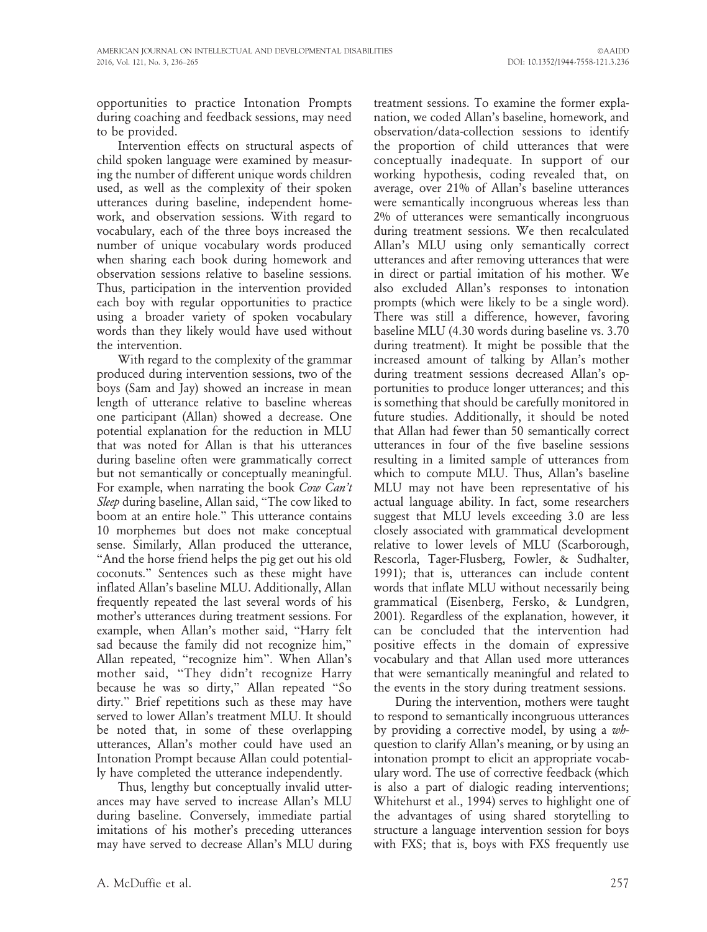opportunities to practice Intonation Prompts during coaching and feedback sessions, may need to be provided.

Intervention effects on structural aspects of child spoken language were examined by measuring the number of different unique words children used, as well as the complexity of their spoken utterances during baseline, independent homework, and observation sessions. With regard to vocabulary, each of the three boys increased the number of unique vocabulary words produced when sharing each book during homework and observation sessions relative to baseline sessions. Thus, participation in the intervention provided each boy with regular opportunities to practice using a broader variety of spoken vocabulary words than they likely would have used without the intervention.

With regard to the complexity of the grammar produced during intervention sessions, two of the boys (Sam and Jay) showed an increase in mean length of utterance relative to baseline whereas one participant (Allan) showed a decrease. One potential explanation for the reduction in MLU that was noted for Allan is that his utterances during baseline often were grammatically correct but not semantically or conceptually meaningful. For example, when narrating the book Cow Can't Sleep during baseline, Allan said, "The cow liked to boom at an entire hole.'' This utterance contains 10 morphemes but does not make conceptual sense. Similarly, Allan produced the utterance, ''And the horse friend helps the pig get out his old coconuts.'' Sentences such as these might have inflated Allan's baseline MLU. Additionally, Allan frequently repeated the last several words of his mother's utterances during treatment sessions. For example, when Allan's mother said, ''Harry felt sad because the family did not recognize him,'' Allan repeated, ''recognize him''. When Allan's mother said, ''They didn't recognize Harry because he was so dirty,'' Allan repeated ''So dirty.'' Brief repetitions such as these may have served to lower Allan's treatment MLU. It should be noted that, in some of these overlapping utterances, Allan's mother could have used an Intonation Prompt because Allan could potentially have completed the utterance independently.

Thus, lengthy but conceptually invalid utterances may have served to increase Allan's MLU during baseline. Conversely, immediate partial imitations of his mother's preceding utterances may have served to decrease Allan's MLU during treatment sessions. To examine the former explanation, we coded Allan's baseline, homework, and observation/data-collection sessions to identify the proportion of child utterances that were conceptually inadequate. In support of our working hypothesis, coding revealed that, on average, over 21% of Allan's baseline utterances were semantically incongruous whereas less than 2% of utterances were semantically incongruous during treatment sessions. We then recalculated Allan's MLU using only semantically correct utterances and after removing utterances that were in direct or partial imitation of his mother. We also excluded Allan's responses to intonation prompts (which were likely to be a single word). There was still a difference, however, favoring baseline MLU (4.30 words during baseline vs. 3.70 during treatment). It might be possible that the increased amount of talking by Allan's mother during treatment sessions decreased Allan's opportunities to produce longer utterances; and this is something that should be carefully monitored in future studies. Additionally, it should be noted that Allan had fewer than 50 semantically correct utterances in four of the five baseline sessions resulting in a limited sample of utterances from which to compute MLU. Thus, Allan's baseline MLU may not have been representative of his actual language ability. In fact, some researchers suggest that MLU levels exceeding 3.0 are less closely associated with grammatical development relative to lower levels of MLU (Scarborough, Rescorla, Tager-Flusberg, Fowler, & Sudhalter, 1991); that is, utterances can include content words that inflate MLU without necessarily being grammatical (Eisenberg, Fersko, & Lundgren, 2001). Regardless of the explanation, however, it can be concluded that the intervention had positive effects in the domain of expressive vocabulary and that Allan used more utterances that were semantically meaningful and related to the events in the story during treatment sessions.

During the intervention, mothers were taught to respond to semantically incongruous utterances by providing a corrective model, by using a whquestion to clarify Allan's meaning, or by using an intonation prompt to elicit an appropriate vocabulary word. The use of corrective feedback (which is also a part of dialogic reading interventions; Whitehurst et al., 1994) serves to highlight one of the advantages of using shared storytelling to structure a language intervention session for boys with FXS; that is, boys with FXS frequently use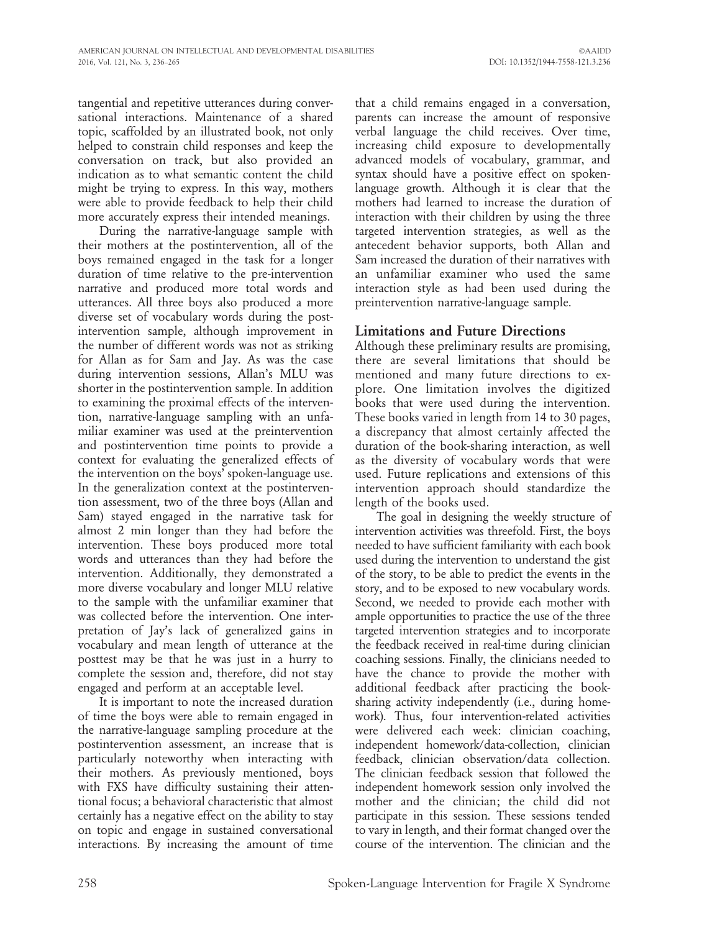tangential and repetitive utterances during conversational interactions. Maintenance of a shared topic, scaffolded by an illustrated book, not only helped to constrain child responses and keep the conversation on track, but also provided an indication as to what semantic content the child might be trying to express. In this way, mothers were able to provide feedback to help their child more accurately express their intended meanings.

During the narrative-language sample with their mothers at the postintervention, all of the boys remained engaged in the task for a longer duration of time relative to the pre-intervention narrative and produced more total words and utterances. All three boys also produced a more diverse set of vocabulary words during the postintervention sample, although improvement in the number of different words was not as striking for Allan as for Sam and Jay. As was the case during intervention sessions, Allan's MLU was shorter in the postintervention sample. In addition to examining the proximal effects of the intervention, narrative-language sampling with an unfamiliar examiner was used at the preintervention and postintervention time points to provide a context for evaluating the generalized effects of the intervention on the boys' spoken-language use. In the generalization context at the postintervention assessment, two of the three boys (Allan and Sam) stayed engaged in the narrative task for almost 2 min longer than they had before the intervention. These boys produced more total words and utterances than they had before the intervention. Additionally, they demonstrated a more diverse vocabulary and longer MLU relative to the sample with the unfamiliar examiner that was collected before the intervention. One interpretation of Jay's lack of generalized gains in vocabulary and mean length of utterance at the posttest may be that he was just in a hurry to complete the session and, therefore, did not stay engaged and perform at an acceptable level.

It is important to note the increased duration of time the boys were able to remain engaged in the narrative-language sampling procedure at the postintervention assessment, an increase that is particularly noteworthy when interacting with their mothers. As previously mentioned, boys with FXS have difficulty sustaining their attentional focus; a behavioral characteristic that almost certainly has a negative effect on the ability to stay on topic and engage in sustained conversational interactions. By increasing the amount of time

that a child remains engaged in a conversation, parents can increase the amount of responsive verbal language the child receives. Over time, increasing child exposure to developmentally advanced models of vocabulary, grammar, and syntax should have a positive effect on spokenlanguage growth. Although it is clear that the mothers had learned to increase the duration of interaction with their children by using the three targeted intervention strategies, as well as the antecedent behavior supports, both Allan and Sam increased the duration of their narratives with an unfamiliar examiner who used the same interaction style as had been used during the preintervention narrative-language sample.

### Limitations and Future Directions

Although these preliminary results are promising, there are several limitations that should be mentioned and many future directions to explore. One limitation involves the digitized books that were used during the intervention. These books varied in length from 14 to 30 pages, a discrepancy that almost certainly affected the duration of the book-sharing interaction, as well as the diversity of vocabulary words that were used. Future replications and extensions of this intervention approach should standardize the length of the books used.

The goal in designing the weekly structure of intervention activities was threefold. First, the boys needed to have sufficient familiarity with each book used during the intervention to understand the gist of the story, to be able to predict the events in the story, and to be exposed to new vocabulary words. Second, we needed to provide each mother with ample opportunities to practice the use of the three targeted intervention strategies and to incorporate the feedback received in real-time during clinician coaching sessions. Finally, the clinicians needed to have the chance to provide the mother with additional feedback after practicing the booksharing activity independently (i.e., during homework). Thus, four intervention-related activities were delivered each week: clinician coaching, independent homework/data-collection, clinician feedback, clinician observation/data collection. The clinician feedback session that followed the independent homework session only involved the mother and the clinician; the child did not participate in this session. These sessions tended to vary in length, and their format changed over the course of the intervention. The clinician and the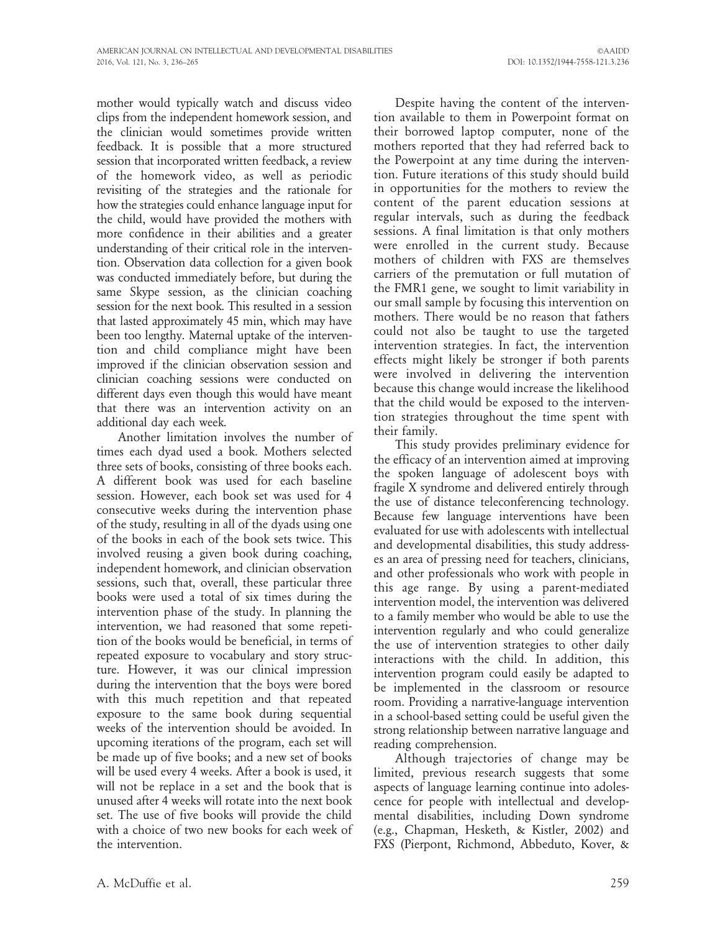mother would typically watch and discuss video clips from the independent homework session, and the clinician would sometimes provide written feedback. It is possible that a more structured session that incorporated written feedback, a review of the homework video, as well as periodic revisiting of the strategies and the rationale for how the strategies could enhance language input for the child, would have provided the mothers with more confidence in their abilities and a greater understanding of their critical role in the intervention. Observation data collection for a given book was conducted immediately before, but during the same Skype session, as the clinician coaching session for the next book. This resulted in a session that lasted approximately 45 min, which may have been too lengthy. Maternal uptake of the intervention and child compliance might have been improved if the clinician observation session and clinician coaching sessions were conducted on different days even though this would have meant that there was an intervention activity on an additional day each week.

Another limitation involves the number of times each dyad used a book. Mothers selected three sets of books, consisting of three books each. A different book was used for each baseline session. However, each book set was used for 4 consecutive weeks during the intervention phase of the study, resulting in all of the dyads using one of the books in each of the book sets twice. This involved reusing a given book during coaching, independent homework, and clinician observation sessions, such that, overall, these particular three books were used a total of six times during the intervention phase of the study. In planning the intervention, we had reasoned that some repetition of the books would be beneficial, in terms of repeated exposure to vocabulary and story structure. However, it was our clinical impression during the intervention that the boys were bored with this much repetition and that repeated exposure to the same book during sequential weeks of the intervention should be avoided. In upcoming iterations of the program, each set will be made up of five books; and a new set of books will be used every 4 weeks. After a book is used, it will not be replace in a set and the book that is unused after 4 weeks will rotate into the next book set. The use of five books will provide the child with a choice of two new books for each week of the intervention.

Despite having the content of the intervention available to them in Powerpoint format on their borrowed laptop computer, none of the mothers reported that they had referred back to the Powerpoint at any time during the intervention. Future iterations of this study should build in opportunities for the mothers to review the content of the parent education sessions at regular intervals, such as during the feedback sessions. A final limitation is that only mothers were enrolled in the current study. Because mothers of children with FXS are themselves carriers of the premutation or full mutation of the FMR1 gene, we sought to limit variability in our small sample by focusing this intervention on mothers. There would be no reason that fathers could not also be taught to use the targeted intervention strategies. In fact, the intervention effects might likely be stronger if both parents were involved in delivering the intervention because this change would increase the likelihood that the child would be exposed to the intervention strategies throughout the time spent with their family.

This study provides preliminary evidence for the efficacy of an intervention aimed at improving the spoken language of adolescent boys with fragile X syndrome and delivered entirely through the use of distance teleconferencing technology. Because few language interventions have been evaluated for use with adolescents with intellectual and developmental disabilities, this study addresses an area of pressing need for teachers, clinicians, and other professionals who work with people in this age range. By using a parent-mediated intervention model, the intervention was delivered to a family member who would be able to use the intervention regularly and who could generalize the use of intervention strategies to other daily interactions with the child. In addition, this intervention program could easily be adapted to be implemented in the classroom or resource room. Providing a narrative-language intervention in a school-based setting could be useful given the strong relationship between narrative language and reading comprehension.

Although trajectories of change may be limited, previous research suggests that some aspects of language learning continue into adolescence for people with intellectual and developmental disabilities, including Down syndrome (e.g., Chapman, Hesketh, & Kistler, 2002) and FXS (Pierpont, Richmond, Abbeduto, Kover, &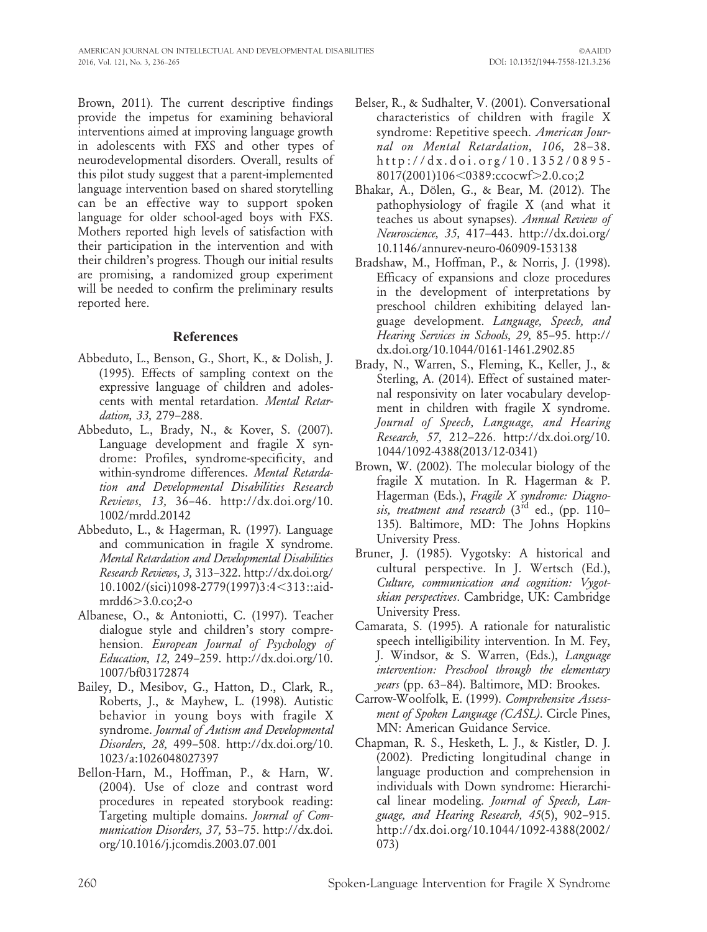Brown, 2011). The current descriptive findings provide the impetus for examining behavioral interventions aimed at improving language growth in adolescents with FXS and other types of neurodevelopmental disorders. Overall, results of this pilot study suggest that a parent-implemented language intervention based on shared storytelling can be an effective way to support spoken language for older school-aged boys with FXS. Mothers reported high levels of satisfaction with their participation in the intervention and with their children's progress. Though our initial results are promising, a randomized group experiment will be needed to confirm the preliminary results reported here.

#### References

- Abbeduto, L., Benson, G., Short, K., & Dolish, J. (1995). Effects of sampling context on the expressive language of children and adolescents with mental retardation. Mental Retardation, 33, 279–288.
- Abbeduto, L., Brady, N., & Kover, S. (2007). Language development and fragile X syndrome: Profiles, syndrome-specificity, and within-syndrome differences. Mental Retardation and Developmental Disabilities Research Reviews, 13, 36–46. http://dx.doi.org/10. 1002/mrdd.20142
- Abbeduto, L., & Hagerman, R. (1997). Language and communication in fragile X syndrome. Mental Retardation and Developmental Disabilities Research Reviews, 3, 313–322. http://dx.doi.org/ 10.1002/(sici)1098-2779(1997)3:4<313::aid $mrdd6 > 3.0$ .co;2-o
- Albanese, O., & Antoniotti, C. (1997). Teacher dialogue style and children's story comprehension. European Journal of Psychology of Education, 12, 249–259. http://dx.doi.org/10. 1007/bf03172874
- Bailey, D., Mesibov, G., Hatton, D., Clark, R., Roberts, J., & Mayhew, L. (1998). Autistic behavior in young boys with fragile X syndrome. Journal of Autism and Developmental Disorders, 28, 499–508. http://dx.doi.org/10. 1023/a:1026048027397
- Bellon-Harn, M., Hoffman, P., & Harn, W. (2004). Use of cloze and contrast word procedures in repeated storybook reading: Targeting multiple domains. Journal of Communication Disorders, 37, 53–75. http://dx.doi. org/10.1016/j.jcomdis.2003.07.001
- Belser, R., & Sudhalter, V. (2001). Conversational characteristics of children with fragile X syndrome: Repetitive speech. American Journal on Mental Retardation, 106, 28–38. http://dx.doi.org/10.1352/0895- 8017(2001)106<0389:ccocwf>2.0.co;2
- Bhakar, A., Dölen, G., & Bear, M. (2012). The pathophysiology of fragile X (and what it teaches us about synapses). Annual Review of Neuroscience, 35, 417–443. http://dx.doi.org/ 10.1146/annurev-neuro-060909-153138
- Bradshaw, M., Hoffman, P., & Norris, J. (1998). Efficacy of expansions and cloze procedures in the development of interpretations by preschool children exhibiting delayed language development. Language, Speech, and Hearing Services in Schools, 29, 85–95. http:// dx.doi.org/10.1044/0161-1461.2902.85
- Brady, N., Warren, S., Fleming, K., Keller, J., & Sterling, A. (2014). Effect of sustained maternal responsivity on later vocabulary development in children with fragile X syndrome. Journal of Speech, Language, and Hearing Research, 57, 212–226. http://dx.doi.org/10. 1044/1092-4388(2013/12-0341)
- Brown, W. (2002). The molecular biology of the fragile X mutation. In R. Hagerman & P. Hagerman (Eds.), Fragile X syndrome: Diagnosis, treatment and research (3<sup>rd</sup> ed., (pp. 110– 135). Baltimore, MD: The Johns Hopkins University Press.
- Bruner, J. (1985). Vygotsky: A historical and cultural perspective. In J. Wertsch (Ed.), Culture, communication and cognition: Vygotskian perspectives. Cambridge, UK: Cambridge University Press.
- Camarata, S. (1995). A rationale for naturalistic speech intelligibility intervention. In M. Fey, J. Windsor, & S. Warren, (Eds.), Language intervention: Preschool through the elementary years (pp. 63-84). Baltimore, MD: Brookes.
- Carrow-Woolfolk, E. (1999). Comprehensive Assessment of Spoken Language (CASL). Circle Pines, MN: American Guidance Service.
- Chapman, R. S., Hesketh, L. J., & Kistler, D. J. (2002). Predicting longitudinal change in language production and comprehension in individuals with Down syndrome: Hierarchical linear modeling. Journal of Speech, Language, and Hearing Research, 45(5), 902–915. http://dx.doi.org/10.1044/1092-4388(2002/ 073)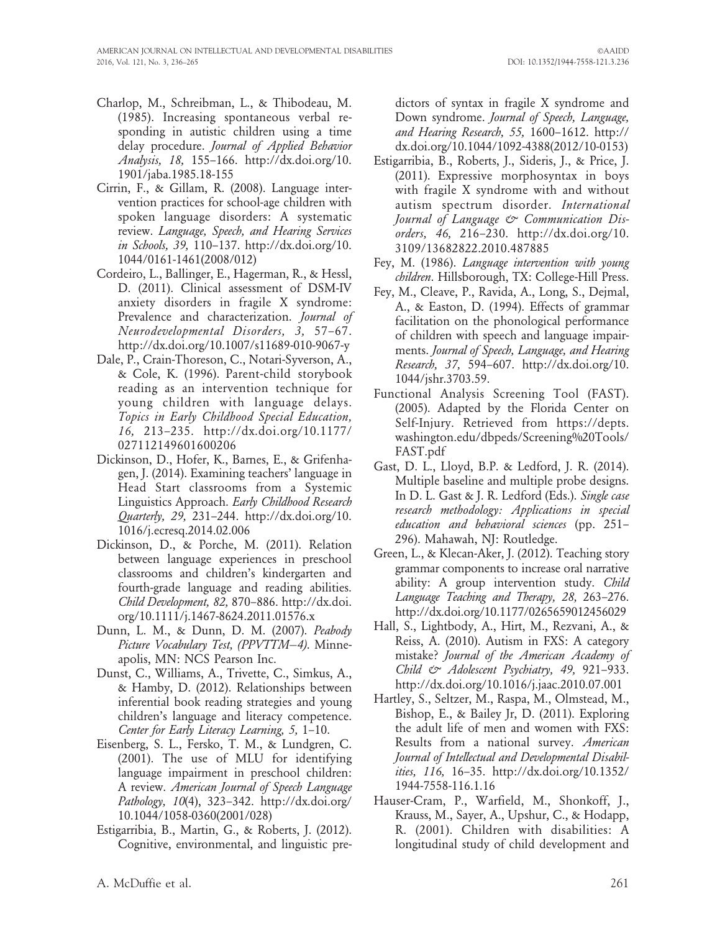- Charlop, M., Schreibman, L., & Thibodeau, M. (1985). Increasing spontaneous verbal responding in autistic children using a time delay procedure. Journal of Applied Behavior Analysis, 18, 155–166. http://dx.doi.org/10. 1901/jaba.1985.18-155
- Cirrin, F., & Gillam, R. (2008). Language intervention practices for school-age children with spoken language disorders: A systematic review. Language, Speech, and Hearing Services in Schools, 39, 110–137. http://dx.doi.org/10. 1044/0161-1461(2008/012)
- Cordeiro, L., Ballinger, E., Hagerman, R., & Hessl, D. (2011). Clinical assessment of DSM-IV anxiety disorders in fragile X syndrome: Prevalence and characterization. Journal of Neurodevelopmental Disorders, 3, 57–67. http://dx.doi.org/10.1007/s11689-010-9067-y
- Dale, P., Crain-Thoreson, C., Notari-Syverson, A., & Cole, K. (1996). Parent-child storybook reading as an intervention technique for young children with language delays. Topics in Early Childhood Special Education, 16, 213–235. http://dx.doi.org/10.1177/ 027112149601600206
- Dickinson, D., Hofer, K., Barnes, E., & Grifenhagen, J. (2014). Examining teachers' language in Head Start classrooms from a Systemic Linguistics Approach. Early Childhood Research Quarterly, 29, 231–244. http://dx.doi.org/10. 1016/j.ecresq.2014.02.006
- Dickinson, D., & Porche, M. (2011). Relation between language experiences in preschool classrooms and children's kindergarten and fourth-grade language and reading abilities. Child Development, 82, 870–886. http://dx.doi. org/10.1111/j.1467-8624.2011.01576.x
- Dunn, L. M., & Dunn, D. M. (2007). Peabody Picture Vocabulary Test, (PPVTTM-4). Minneapolis, MN: NCS Pearson Inc.
- Dunst, C., Williams, A., Trivette, C., Simkus, A., & Hamby, D. (2012). Relationships between inferential book reading strategies and young children's language and literacy competence. Center for Early Literacy Learning, 5, 1–10.
- Eisenberg, S. L., Fersko, T. M., & Lundgren, C. (2001). The use of MLU for identifying language impairment in preschool children: A review. American Journal of Speech Language Pathology, 10(4), 323-342. http://dx.doi.org/ 10.1044/1058-0360(2001/028)
- Estigarribia, B., Martin, G., & Roberts, J. (2012). Cognitive, environmental, and linguistic pre-

dictors of syntax in fragile X syndrome and Down syndrome. Journal of Speech, Language, and Hearing Research, 55, 1600–1612. http:// dx.doi.org/10.1044/1092-4388(2012/10-0153)

- Estigarribia, B., Roberts, J., Sideris, J., & Price, J. (2011). Expressive morphosyntax in boys with fragile X syndrome with and without autism spectrum disorder. International Journal of Language & Communication Disorders, 46, 216–230. http://dx.doi.org/10. 3109/13682822.2010.487885
- Fey, M. (1986). Language intervention with young children. Hillsborough, TX: College-Hill Press.
- Fey, M., Cleave, P., Ravida, A., Long, S., Dejmal, A., & Easton, D. (1994). Effects of grammar facilitation on the phonological performance of children with speech and language impairments. Journal of Speech, Language, and Hearing Research, 37, 594–607. http://dx.doi.org/10. 1044/jshr.3703.59.
- Functional Analysis Screening Tool (FAST). (2005). Adapted by the Florida Center on Self-Injury. Retrieved from https://depts. washington.edu/dbpeds/Screening%20Tools/ FAST.pdf
- Gast, D. L., Lloyd, B.P. & Ledford, J. R. (2014). Multiple baseline and multiple probe designs. In D. L. Gast & J. R. Ledford (Eds.). Single case research methodology: Applications in special education and behavioral sciences (pp. 251– 296). Mahawah, NJ: Routledge.
- Green, L., & Klecan-Aker, J. (2012). Teaching story grammar components to increase oral narrative ability: A group intervention study. Child Language Teaching and Therapy, 28, 263–276. http://dx.doi.org/10.1177/0265659012456029
- Hall, S., Lightbody, A., Hirt, M., Rezvani, A., & Reiss, A. (2010). Autism in FXS: A category mistake? Journal of the American Academy of Child  $\mathfrak{S}$  Adolescent Psychiatry, 49, 921-933. http://dx.doi.org/10.1016/j.jaac.2010.07.001
- Hartley, S., Seltzer, M., Raspa, M., Olmstead, M., Bishop, E., & Bailey Jr, D. (2011). Exploring the adult life of men and women with FXS: Results from a national survey. American Journal of Intellectual and Developmental Disabilities, 116, 16–35. http://dx.doi.org/10.1352/ 1944-7558-116.1.16
- Hauser-Cram, P., Warfield, M., Shonkoff, J., Krauss, M., Sayer, A., Upshur, C., & Hodapp, R. (2001). Children with disabilities: A longitudinal study of child development and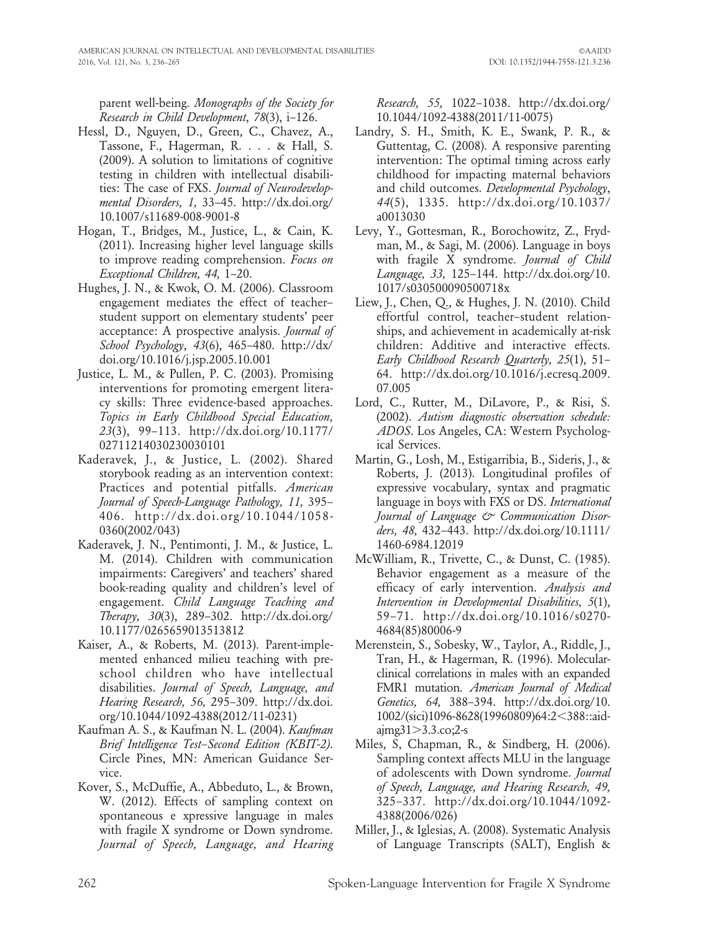parent well-being. Monographs of the Society for Research in Child Development, 78(3), i–126.

- Hessl, D., Nguyen, D., Green, C., Chavez, A., Tassone, F., Hagerman, R. . . . & Hall, S. (2009). A solution to limitations of cognitive testing in children with intellectual disabilities: The case of FXS. Journal of Neurodevelopmental Disorders, 1, 33–45. http://dx.doi.org/ 10.1007/s11689-008-9001-8
- Hogan, T., Bridges, M., Justice, L., & Cain, K. (2011). Increasing higher level language skills to improve reading comprehension. Focus on Exceptional Children, 44, 1–20.
- Hughes, J. N., & Kwok, O. M. (2006). Classroom engagement mediates the effect of teacher– student support on elementary students' peer acceptance: A prospective analysis. Journal of School Psychology, 43(6), 465–480. http://dx/ doi.org/10.1016/j.jsp.2005.10.001
- Justice, L. M., & Pullen, P. C. (2003). Promising interventions for promoting emergent literacy skills: Three evidence-based approaches. Topics in Early Childhood Special Education, 23(3), 99–113. http://dx.doi.org/10.1177/ 02711214030230030101
- Kaderavek, J., & Justice, L. (2002). Shared storybook reading as an intervention context: Practices and potential pitfalls. American Journal of Speech-Language Pathology, 11, 395– 406. http://dx.doi.org/10.1044/1058- 0360(2002/043)
- Kaderavek, J. N., Pentimonti, J. M., & Justice, L. M. (2014). Children with communication impairments: Caregivers' and teachers' shared book-reading quality and children's level of engagement. Child Language Teaching and Therapy, 30(3), 289–302. http://dx.doi.org/ 10.1177/0265659013513812
- Kaiser, A., & Roberts, M. (2013). Parent-implemented enhanced milieu teaching with preschool children who have intellectual disabilities. Journal of Speech, Language, and Hearing Research, 56, 295–309. http://dx.doi. org/10.1044/1092-4388(2012/11-0231)
- Kaufman A. S., & Kaufman N. L. (2004). Kaufman Brief Intelligence Test–Second Edition (KBIT-2). Circle Pines, MN: American Guidance Service.
- Kover, S., McDuffie, A., Abbeduto, L., & Brown, W. (2012). Effects of sampling context on spontaneous e xpressive language in males with fragile X syndrome or Down syndrome. Journal of Speech, Language, and Hearing

Research, 55, 1022–1038. http://dx.doi.org/ 10.1044/1092-4388(2011/11-0075)

- Landry, S. H., Smith, K. E., Swank, P. R., & Guttentag, C. (2008). A responsive parenting intervention: The optimal timing across early childhood for impacting maternal behaviors and child outcomes. Developmental Psychology, 44(5), 1335. http://dx.doi.org/10.1037/ a0013030
- Levy, Y., Gottesman, R., Borochowitz, Z., Frydman, M., & Sagi, M. (2006). Language in boys with fragile X syndrome. Journal of Child Language, 33, 125–144. http://dx.doi.org/10. 1017/s030500090500718x
- Liew, J., Chen, Q., & Hughes, J. N. (2010). Child effortful control, teacher–student relationships, and achievement in academically at-risk children: Additive and interactive effects. Early Childhood Research Quarterly, 25(1), 51– 64. http://dx.doi.org/10.1016/j.ecresq.2009. 07.005
- Lord, C., Rutter, M., DiLavore, P., & Risi, S. (2002). Autism diagnostic observation schedule: ADOS. Los Angeles, CA: Western Psychological Services.
- Martin, G., Losh, M., Estigarribia, B., Sideris, J., & Roberts, J. (2013). Longitudinal profiles of expressive vocabulary, syntax and pragmatic language in boys with FXS or DS. International Journal of Language & Communication Disorders, 48, 432–443. http://dx.doi.org/10.1111/ 1460-6984.12019
- McWilliam, R., Trivette, C., & Dunst, C. (1985). Behavior engagement as a measure of the efficacy of early intervention. Analysis and Intervention in Developmental Disabilities, 5(1), 59–71. http://dx.doi.org/10.1016/s0270- 4684(85)80006-9
- Merenstein, S., Sobesky, W., Taylor, A., Riddle, J., Tran, H., & Hagerman, R. (1996). Molecularclinical correlations in males with an expanded FMR1 mutation. American Journal of Medical Genetics, 64, 388–394. http://dx.doi.org/10. 1002/(sici)1096-8628(19960809)64:2<388::aidajmg31>3.3.co;2-s
- Miles, S, Chapman, R., & Sindberg, H. (2006). Sampling context affects MLU in the language of adolescents with Down syndrome. Journal of Speech, Language, and Hearing Research, 49, 325–337. http://dx.doi.org/10.1044/1092- 4388(2006/026)
- Miller, J., & Iglesias, A. (2008). Systematic Analysis of Language Transcripts (SALT), English &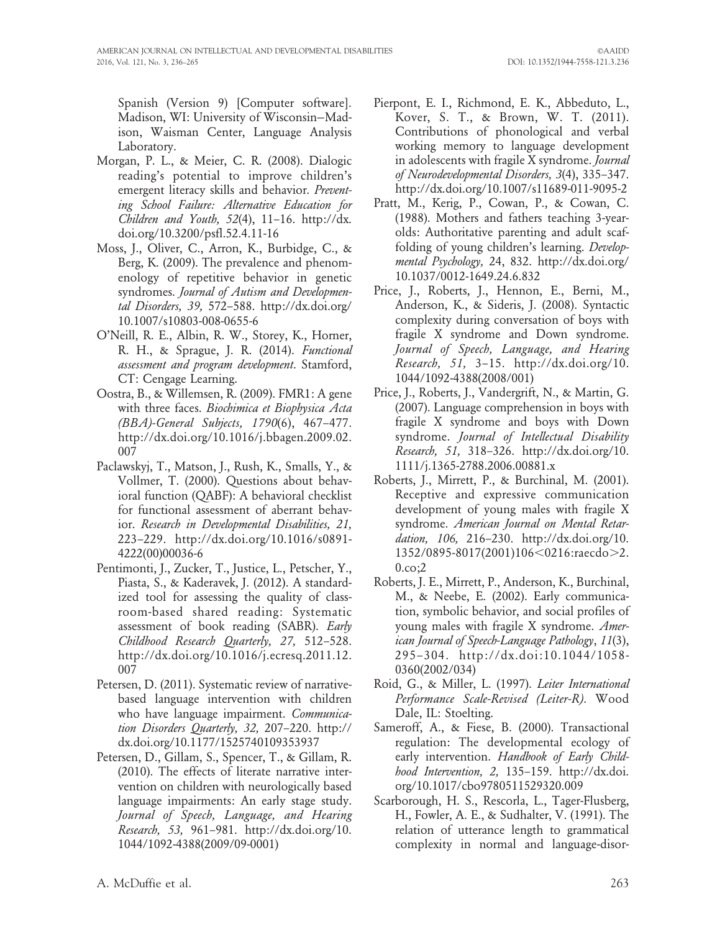Spanish (Version 9) [Computer software]. Madison, WI: University of Wisconsin—Madison, Waisman Center, Language Analysis Laboratory.

- Morgan, P. L., & Meier, C. R. (2008). Dialogic reading's potential to improve children's emergent literacy skills and behavior. Preventing School Failure: Alternative Education for Children and Youth, 52(4), 11–16. http://dx. doi.org/10.3200/psfl.52.4.11-16
- Moss, J., Oliver, C., Arron, K., Burbidge, C., & Berg, K. (2009). The prevalence and phenomenology of repetitive behavior in genetic syndromes. Journal of Autism and Developmental Disorders, 39, 572–588. http://dx.doi.org/ 10.1007/s10803-008-0655-6
- O'Neill, R. E., Albin, R. W., Storey, K., Horner, R. H., & Sprague, J. R. (2014). Functional assessment and program development. Stamford, CT: Cengage Learning.
- Oostra, B., & Willemsen, R. (2009). FMR1: A gene with three faces. Biochimica et Biophysica Acta (BBA)-General Subjects, 1790(6), 467–477. http://dx.doi.org/10.1016/j.bbagen.2009.02. 007
- Paclawskyj, T., Matson, J., Rush, K., Smalls, Y., & Vollmer, T. (2000). Questions about behavioral function (QABF): A behavioral checklist for functional assessment of aberrant behavior. Research in Developmental Disabilities, 21, 223–229. http://dx.doi.org/10.1016/s0891- 4222(00)00036-6
- Pentimonti, J., Zucker, T., Justice, L., Petscher, Y., Piasta, S., & Kaderavek, J. (2012). A standardized tool for assessing the quality of classroom-based shared reading: Systematic assessment of book reading (SABR). Early Childhood Research Quarterly, 27, 512–528. http://dx.doi.org/10.1016/j.ecresq.2011.12. 007
- Petersen, D. (2011). Systematic review of narrativebased language intervention with children who have language impairment. Communication Disorders Quarterly, 32, 207–220. http:// dx.doi.org/10.1177/1525740109353937
- Petersen, D., Gillam, S., Spencer, T., & Gillam, R. (2010). The effects of literate narrative intervention on children with neurologically based language impairments: An early stage study. Journal of Speech, Language, and Hearing Research, 53, 961–981. http://dx.doi.org/10. 1044/1092-4388(2009/09-0001)
- Pierpont, E. I., Richmond, E. K., Abbeduto, L., Kover, S. T., & Brown, W. T. (2011). Contributions of phonological and verbal working memory to language development in adolescents with fragile X syndrome. Journal of Neurodevelopmental Disorders, 3(4), 335–347. http://dx.doi.org/10.1007/s11689-011-9095-2
- Pratt, M., Kerig, P., Cowan, P., & Cowan, C. (1988). Mothers and fathers teaching 3-yearolds: Authoritative parenting and adult scaffolding of young children's learning. Developmental Psychology, 24, 832. http://dx.doi.org/ 10.1037/0012-1649.24.6.832
- Price, J., Roberts, J., Hennon, E., Berni, M., Anderson, K., & Sideris, J. (2008). Syntactic complexity during conversation of boys with fragile X syndrome and Down syndrome. Journal of Speech, Language, and Hearing Research, 51, 3–15. http://dx.doi.org/10. 1044/1092-4388(2008/001)
- Price, J., Roberts, J., Vandergrift, N., & Martin, G. (2007). Language comprehension in boys with fragile X syndrome and boys with Down syndrome. Journal of Intellectual Disability Research, 51, 318–326. http://dx.doi.org/10. 1111/j.1365-2788.2006.00881.x
- Roberts, J., Mirrett, P., & Burchinal, M. (2001). Receptive and expressive communication development of young males with fragile X syndrome. American Journal on Mental Retardation, 106, 216-230. http://dx.doi.org/10. 1352/0895-8017(2001)106<0216:raecdo>2.  $0.co;2$
- Roberts, J. E., Mirrett, P., Anderson, K., Burchinal, M., & Neebe, E. (2002). Early communication, symbolic behavior, and social profiles of young males with fragile X syndrome. American Journal of Speech-Language Pathology, 11(3), 295–304. http://dx.doi:10.1044/1058- 0360(2002/034)
- Roid, G., & Miller, L. (1997). Leiter International Performance Scale-Revised (Leiter-R). Wood Dale, IL: Stoelting.
- Sameroff, A., & Fiese, B. (2000). Transactional regulation: The developmental ecology of early intervention. Handbook of Early Childhood Intervention, 2, 135–159. http://dx.doi. org/10.1017/cbo9780511529320.009
- Scarborough, H. S., Rescorla, L., Tager-Flusberg, H., Fowler, A. E., & Sudhalter, V. (1991). The relation of utterance length to grammatical complexity in normal and language-disor-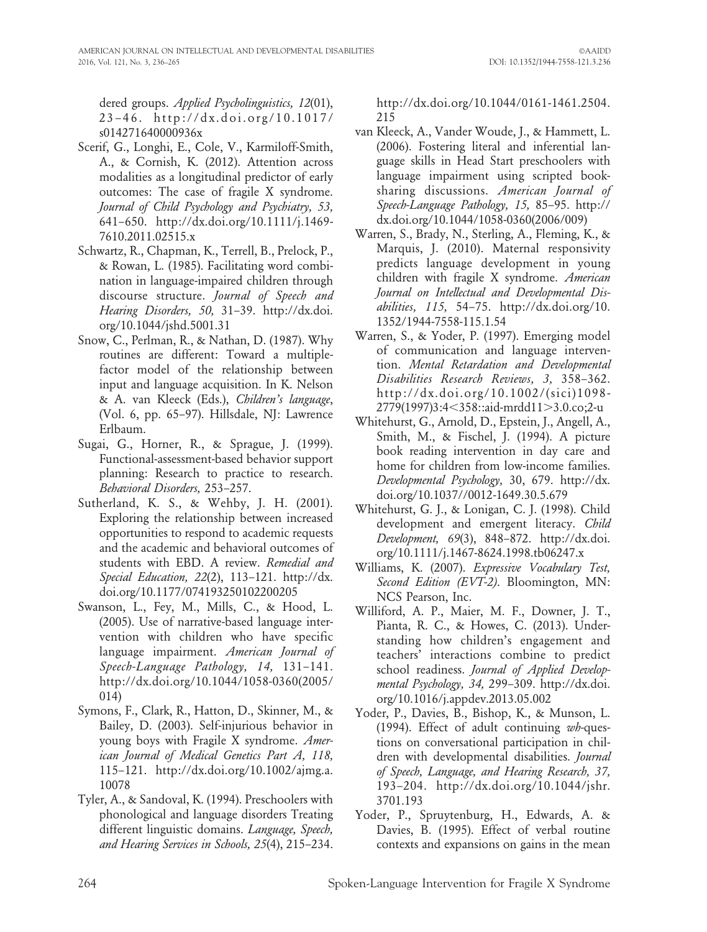dered groups. Applied Psycholinguistics, 12(01), 23–46. http://dx.doi.org/10.1017/ s014271640000936x

- Scerif, G., Longhi, E., Cole, V., Karmiloff-Smith, A., & Cornish, K. (2012). Attention across modalities as a longitudinal predictor of early outcomes: The case of fragile X syndrome. Journal of Child Psychology and Psychiatry, 53, 641–650. http://dx.doi.org/10.1111/j.1469- 7610.2011.02515.x
- Schwartz, R., Chapman, K., Terrell, B., Prelock, P., & Rowan, L. (1985). Facilitating word combination in language-impaired children through discourse structure. Journal of Speech and Hearing Disorders, 50, 31-39. http://dx.doi. org/10.1044/jshd.5001.31
- Snow, C., Perlman, R., & Nathan, D. (1987). Why routines are different: Toward a multiplefactor model of the relationship between input and language acquisition. In K. Nelson & A. van Kleeck (Eds.), Children's language, (Vol. 6, pp. 65–97). Hillsdale, NJ: Lawrence Erlbaum.
- Sugai, G., Horner, R., & Sprague, J. (1999). Functional-assessment-based behavior support planning: Research to practice to research. Behavioral Disorders, 253–257.
- Sutherland, K. S., & Wehby, J. H. (2001). Exploring the relationship between increased opportunities to respond to academic requests and the academic and behavioral outcomes of students with EBD. A review. Remedial and Special Education, 22(2), 113–121. http://dx. doi.org/10.1177/074193250102200205
- Swanson, L., Fey, M., Mills, C., & Hood, L. (2005). Use of narrative-based language intervention with children who have specific language impairment. American Journal of Speech-Language Pathology, 14, 131–141. http://dx.doi.org/10.1044/1058-0360(2005/ 014)
- Symons, F., Clark, R., Hatton, D., Skinner, M., & Bailey, D. (2003). Self-injurious behavior in young boys with Fragile X syndrome. American Journal of Medical Genetics Part A, 118, 115–121. http://dx.doi.org/10.1002/ajmg.a. 10078
- Tyler, A., & Sandoval, K. (1994). Preschoolers with phonological and language disorders Treating different linguistic domains. Language, Speech, and Hearing Services in Schools, 25(4), 215–234.

http://dx.doi.org/10.1044/0161-1461.2504. 215

- van Kleeck, A., Vander Woude, J., & Hammett, L. (2006). Fostering literal and inferential language skills in Head Start preschoolers with language impairment using scripted booksharing discussions. American Journal of Speech-Language Pathology, 15, 85–95. http:// dx.doi.org/10.1044/1058-0360(2006/009)
- Warren, S., Brady, N., Sterling, A., Fleming, K., & Marquis, J. (2010). Maternal responsivity predicts language development in young children with fragile X syndrome. American Journal on Intellectual and Developmental Disabilities, 115, 54–75. http://dx.doi.org/10. 1352/1944-7558-115.1.54
- Warren, S., & Yoder, P. (1997). Emerging model of communication and language intervention. Mental Retardation and Developmental Disabilities Research Reviews, 3, 358–362. http://dx.doi.org/10.1002/(sici)1098- 2779(1997)3:4<358::aid-mrdd11>3.0.co;2-u
- Whitehurst, G., Arnold, D., Epstein, J., Angell, A., Smith, M., & Fischel, J. (1994). A picture book reading intervention in day care and home for children from low-income families. Developmental Psychology, 30, 679. http://dx. doi.org/10.1037//0012-1649.30.5.679
- Whitehurst, G. J., & Lonigan, C. J. (1998). Child development and emergent literacy. Child Development, 69(3), 848–872. http://dx.doi. org/10.1111/j.1467-8624.1998.tb06247.x
- Williams, K. (2007). Expressive Vocabulary Test, Second Edition (EVT-2). Bloomington, MN: NCS Pearson, Inc.
- Williford, A. P., Maier, M. F., Downer, J. T., Pianta, R. C., & Howes, C. (2013). Understanding how children's engagement and teachers' interactions combine to predict school readiness. Journal of Applied Developmental Psychology, 34, 299–309. http://dx.doi. org/10.1016/j.appdev.2013.05.002
- Yoder, P., Davies, B., Bishop, K., & Munson, L. (1994). Effect of adult continuing wh-questions on conversational participation in children with developmental disabilities. Journal of Speech, Language, and Hearing Research, 37, 193–204. http://dx.doi.org/10.1044/jshr. 3701.193
- Yoder, P., Spruytenburg, H., Edwards, A. & Davies, B. (1995). Effect of verbal routine contexts and expansions on gains in the mean